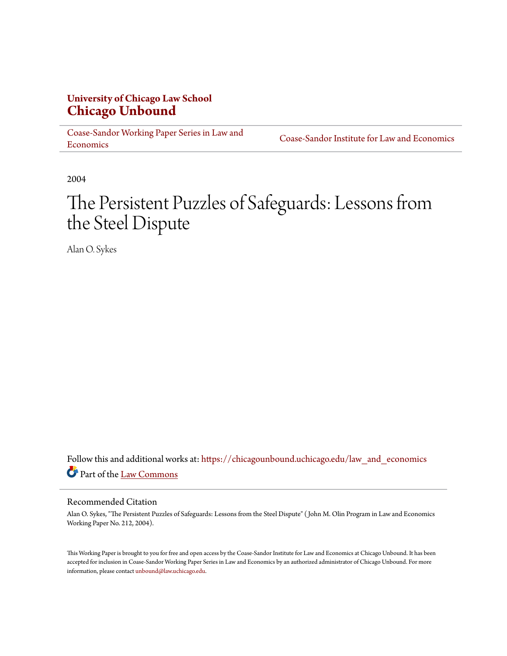# **University of Chicago Law School [Chicago Unbound](https://chicagounbound.uchicago.edu?utm_source=chicagounbound.uchicago.edu%2Flaw_and_economics%2F555&utm_medium=PDF&utm_campaign=PDFCoverPages)**

[Coase-Sandor Working Paper Series in Law and](https://chicagounbound.uchicago.edu/law_and_economics?utm_source=chicagounbound.uchicago.edu%2Flaw_and_economics%2F555&utm_medium=PDF&utm_campaign=PDFCoverPages) [Economics](https://chicagounbound.uchicago.edu/law_and_economics?utm_source=chicagounbound.uchicago.edu%2Flaw_and_economics%2F555&utm_medium=PDF&utm_campaign=PDFCoverPages)

[Coase-Sandor Institute for Law and Economics](https://chicagounbound.uchicago.edu/coase_sandor_institute?utm_source=chicagounbound.uchicago.edu%2Flaw_and_economics%2F555&utm_medium=PDF&utm_campaign=PDFCoverPages)

2004

# The Persistent Puzzles of Safeguards: Lessons from the Steel Dispute

Alan O. Sykes

Follow this and additional works at: [https://chicagounbound.uchicago.edu/law\\_and\\_economics](https://chicagounbound.uchicago.edu/law_and_economics?utm_source=chicagounbound.uchicago.edu%2Flaw_and_economics%2F555&utm_medium=PDF&utm_campaign=PDFCoverPages) Part of the [Law Commons](http://network.bepress.com/hgg/discipline/578?utm_source=chicagounbound.uchicago.edu%2Flaw_and_economics%2F555&utm_medium=PDF&utm_campaign=PDFCoverPages)

#### Recommended Citation

Alan O. Sykes, "The Persistent Puzzles of Safeguards: Lessons from the Steel Dispute" ( John M. Olin Program in Law and Economics Working Paper No. 212, 2004).

This Working Paper is brought to you for free and open access by the Coase-Sandor Institute for Law and Economics at Chicago Unbound. It has been accepted for inclusion in Coase-Sandor Working Paper Series in Law and Economics by an authorized administrator of Chicago Unbound. For more information, please contact [unbound@law.uchicago.edu.](mailto:unbound@law.uchicago.edu)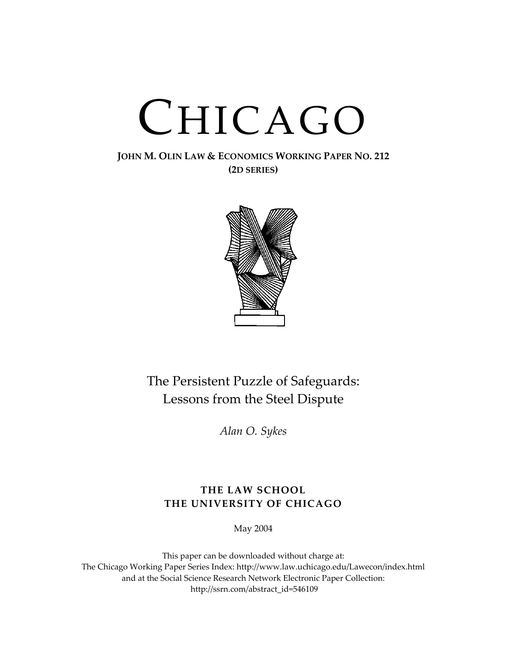# CHICAGO

## **JOHN M. OLIN LAW & ECONOMICS WORKING PAPER NO. 212 (2D SERIES)**



# The Persistent Puzzle of Safeguards: Lessons from the Steel Dispute

*Alan O. Sykes* 

# **THE LAW SCHOOL THE UNIVERSITY OF CHICAGO**

May 2004

This paper can be downloaded without charge at: The Chicago Working Paper Series Index: http://www.law.uchicago.edu/Lawecon/index.html and at the Social Science Research Network Electronic Paper Collection: [http://ssrn.com/abstract\\_id=](http://papers.ssrn.com/sol3/search.taf)546109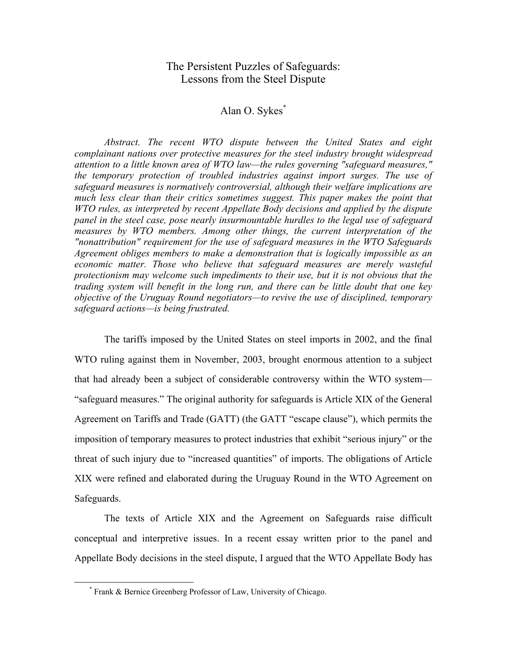## The Persistent Puzzles of Safeguards: Lessons from the Steel Dispute

## Alan O. Sykes[\\*](#page-2-0)

*Abstract. The recent WTO dispute between the United States and eight complainant nations over protective measures for the steel industry brought widespread attention to a little known area of WTO law—the rules governing "safeguard measures," the temporary protection of troubled industries against import surges. The use of safeguard measures is normatively controversial, although their welfare implications are*  much less clear than their critics sometimes suggest. This paper makes the point that *WTO rules, as interpreted by recent Appellate Body decisions and applied by the dispute panel in the steel case, pose nearly insurmountable hurdles to the legal use of safeguard measures by WTO members. Among other things, the current interpretation of the "nonattribution" requirement for the use of safeguard measures in the WTO Safeguards Agreement obliges members to make a demonstration that is logically impossible as an economic matter. Those who believe that safeguard measures are merely wasteful protectionism may welcome such impediments to their use, but it is not obvious that the trading system will benefit in the long run, and there can be little doubt that one key objective of the Uruguay Round negotiators—to revive the use of disciplined, temporary safeguard actions—is being frustrated.* 

The tariffs imposed by the United States on steel imports in 2002, and the final WTO ruling against them in November, 2003, brought enormous attention to a subject that had already been a subject of considerable controversy within the WTO system— "safeguard measures." The original authority for safeguards is Article XIX of the General Agreement on Tariffs and Trade (GATT) (the GATT "escape clause"), which permits the imposition of temporary measures to protect industries that exhibit "serious injury" or the threat of such injury due to "increased quantities" of imports. The obligations of Article XIX were refined and elaborated during the Uruguay Round in the WTO Agreement on Safeguards.

The texts of Article XIX and the Agreement on Safeguards raise difficult conceptual and interpretive issues. In a recent essay written prior to the panel and Appellate Body decisions in the steel dispute, I argued that the WTO Appellate Body has

<span id="page-2-0"></span> <sup>\*</sup> Frank & Bernice Greenberg Professor of Law, University of Chicago.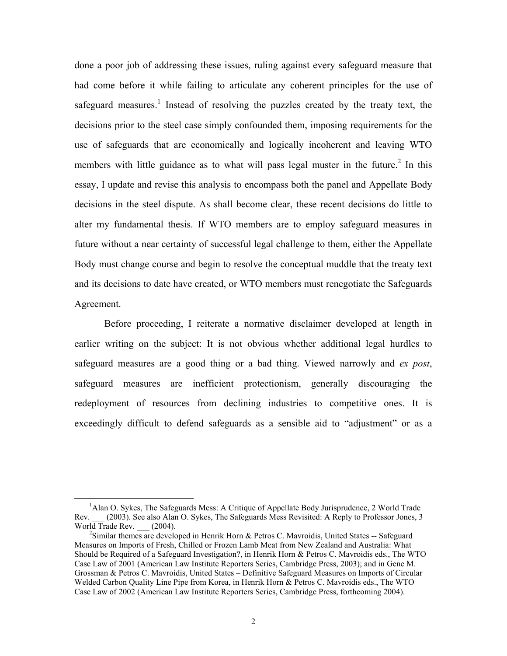done a poor job of addressing these issues, ruling against every safeguard measure that had come before it while failing to articulate any coherent principles for the use of safeguard measures.<sup>[1](#page-3-0)</sup> Instead of resolving the puzzles created by the treaty text, the decisions prior to the steel case simply confounded them, imposing requirements for the use of safeguards that are economically and logically incoherent and leaving WTO members with little guidance as to what will pass legal muster in the future.<sup>[2](#page-3-1)</sup> In this essay, I update and revise this analysis to encompass both the panel and Appellate Body decisions in the steel dispute. As shall become clear, these recent decisions do little to alter my fundamental thesis. If WTO members are to employ safeguard measures in future without a near certainty of successful legal challenge to them, either the Appellate Body must change course and begin to resolve the conceptual muddle that the treaty text and its decisions to date have created, or WTO members must renegotiate the Safeguards Agreement.

Before proceeding, I reiterate a normative disclaimer developed at length in earlier writing on the subject: It is not obvious whether additional legal hurdles to safeguard measures are a good thing or a bad thing. Viewed narrowly and *ex post*, safeguard measures are inefficient protectionism, generally discouraging the redeployment of resources from declining industries to competitive ones. It is exceedingly difficult to defend safeguards as a sensible aid to "adjustment" or as a

<span id="page-3-0"></span> $\frac{1}{1}$ <sup>1</sup>Alan O. Sykes, The Safeguards Mess: A Critique of Appellate Body Jurisprudence, 2 World Trade Rev. \_\_\_ (2003). See also Alan O. Sykes, The Safeguards Mess Revisited: A Reply to Professor Jones, 3 World Trade Rev.  $\qquad \qquad \qquad (2004).$ 

<span id="page-3-1"></span> $\textsuperscript{2}$ Similar themes are developed in Henrik Horn & Petros C. Mavroidis, United States -- Safeguard Measures on Imports of Fresh, Chilled or Frozen Lamb Meat from New Zealand and Australia: What Should be Required of a Safeguard Investigation?, in Henrik Horn & Petros C. Mavroidis eds., The WTO Case Law of 2001 (American Law Institute Reporters Series, Cambridge Press, 2003); and in Gene M. Grossman & Petros C. Mavroidis, United States – Definitive Safeguard Measures on Imports of Circular Welded Carbon Quality Line Pipe from Korea, in Henrik Horn & Petros C. Mavroidis eds., The WTO Case Law of 2002 (American Law Institute Reporters Series, Cambridge Press, forthcoming 2004).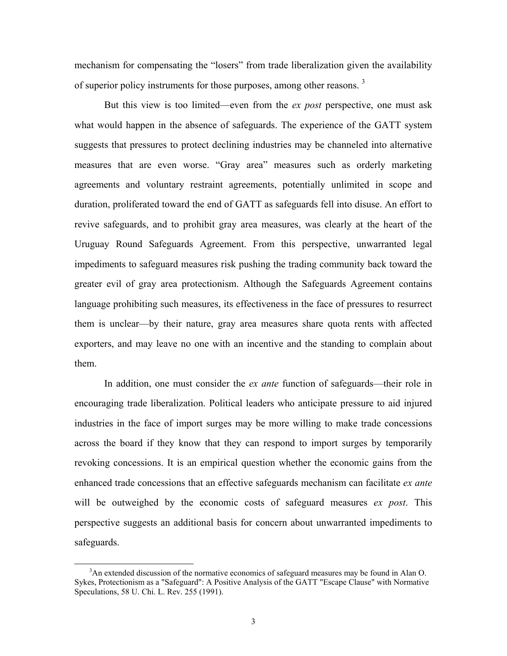mechanism for compensating the "losers" from trade liberalization given the availability of superior policy instruments for those purposes, among other reasons.<sup>[3](#page-4-0)</sup>

But this view is too limited—even from the *ex post* perspective, one must ask what would happen in the absence of safeguards. The experience of the GATT system suggests that pressures to protect declining industries may be channeled into alternative measures that are even worse. "Gray area" measures such as orderly marketing agreements and voluntary restraint agreements, potentially unlimited in scope and duration, proliferated toward the end of GATT as safeguards fell into disuse. An effort to revive safeguards, and to prohibit gray area measures, was clearly at the heart of the Uruguay Round Safeguards Agreement. From this perspective, unwarranted legal impediments to safeguard measures risk pushing the trading community back toward the greater evil of gray area protectionism. Although the Safeguards Agreement contains language prohibiting such measures, its effectiveness in the face of pressures to resurrect them is unclear—by their nature, gray area measures share quota rents with affected exporters, and may leave no one with an incentive and the standing to complain about them.

In addition, one must consider the *ex ante* function of safeguards—their role in encouraging trade liberalization. Political leaders who anticipate pressure to aid injured industries in the face of import surges may be more willing to make trade concessions across the board if they know that they can respond to import surges by temporarily revoking concessions. It is an empirical question whether the economic gains from the enhanced trade concessions that an effective safeguards mechanism can facilitate *ex ante* will be outweighed by the economic costs of safeguard measures *ex post*. This perspective suggests an additional basis for concern about unwarranted impediments to safeguards.

<span id="page-4-0"></span> $\frac{1}{3}$  $A<sup>3</sup>$ An extended discussion of the normative economics of safeguard measures may be found in Alan O. Sykes, Protectionism as a "Safeguard": A Positive Analysis of the GATT "Escape Clause" with Normative Speculations, 58 U. Chi. L. Rev. 255 (1991).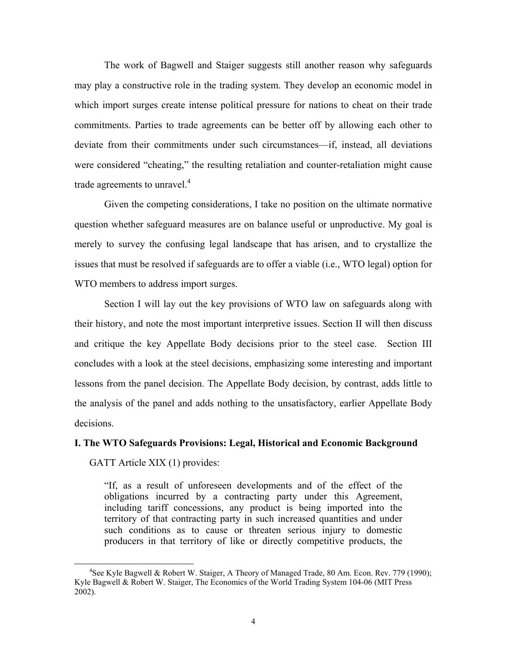The work of Bagwell and Staiger suggests still another reason why safeguards may play a constructive role in the trading system. They develop an economic model in which import surges create intense political pressure for nations to cheat on their trade commitments. Parties to trade agreements can be better off by allowing each other to deviate from their commitments under such circumstances—if, instead, all deviations were considered "cheating," the resulting retaliation and counter-retaliation might cause trade agreements to unravel.<sup>[4](#page-5-0)</sup>

Given the competing considerations, I take no position on the ultimate normative question whether safeguard measures are on balance useful or unproductive. My goal is merely to survey the confusing legal landscape that has arisen, and to crystallize the issues that must be resolved if safeguards are to offer a viable (i.e., WTO legal) option for WTO members to address import surges.

Section I will lay out the key provisions of WTO law on safeguards along with their history, and note the most important interpretive issues. Section II will then discuss and critique the key Appellate Body decisions prior to the steel case. Section III concludes with a look at the steel decisions, emphasizing some interesting and important lessons from the panel decision. The Appellate Body decision, by contrast, adds little to the analysis of the panel and adds nothing to the unsatisfactory, earlier Appellate Body decisions.

# **I. The WTO Safeguards Provisions: Legal, Historical and Economic Background**

GATT Article XIX (1) provides:

"If, as a result of unforeseen developments and of the effect of the obligations incurred by a contracting party under this Agreement, including tariff concessions, any product is being imported into the territory of that contracting party in such increased quantities and under such conditions as to cause or threaten serious injury to domestic producers in that territory of like or directly competitive products, the

<span id="page-5-0"></span> $\overline{4}$ <sup>4</sup>See Kyle Bagwell & Robert W. Staiger, A Theory of Managed Trade, 80 Am. Econ. Rev. 779 (1990); Kyle Bagwell & Robert W. Staiger, The Economics of the World Trading System 104-06 (MIT Press 2002).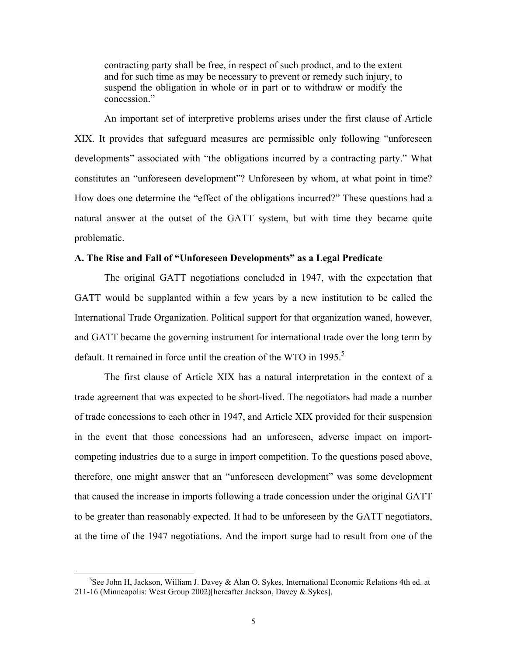contracting party shall be free, in respect of such product, and to the extent and for such time as may be necessary to prevent or remedy such injury, to suspend the obligation in whole or in part or to withdraw or modify the concession<sup>"</sup>

An important set of interpretive problems arises under the first clause of Article XIX. It provides that safeguard measures are permissible only following "unforeseen developments" associated with "the obligations incurred by a contracting party." What constitutes an "unforeseen development"? Unforeseen by whom, at what point in time? How does one determine the "effect of the obligations incurred?" These questions had a natural answer at the outset of the GATT system, but with time they became quite problematic.

#### **A. The Rise and Fall of "Unforeseen Developments" as a Legal Predicate**

The original GATT negotiations concluded in 1947, with the expectation that GATT would be supplanted within a few years by a new institution to be called the International Trade Organization. Political support for that organization waned, however, and GATT became the governing instrument for international trade over the long term by default. It remained in force until the creation of the WTO in 199[5](#page-6-0).<sup>5</sup>

The first clause of Article XIX has a natural interpretation in the context of a trade agreement that was expected to be short-lived. The negotiators had made a number of trade concessions to each other in 1947, and Article XIX provided for their suspension in the event that those concessions had an unforeseen, adverse impact on importcompeting industries due to a surge in import competition. To the questions posed above, therefore, one might answer that an "unforeseen development" was some development that caused the increase in imports following a trade concession under the original GATT to be greater than reasonably expected. It had to be unforeseen by the GATT negotiators, at the time of the 1947 negotiations. And the import surge had to result from one of the

<span id="page-6-0"></span> $rac{1}{5}$  ${}^{5}$ See John H, Jackson, William J. Davey & Alan O. Sykes, International Economic Relations 4th ed. at 211-16 (Minneapolis: West Group 2002)[hereafter Jackson, Davey & Sykes].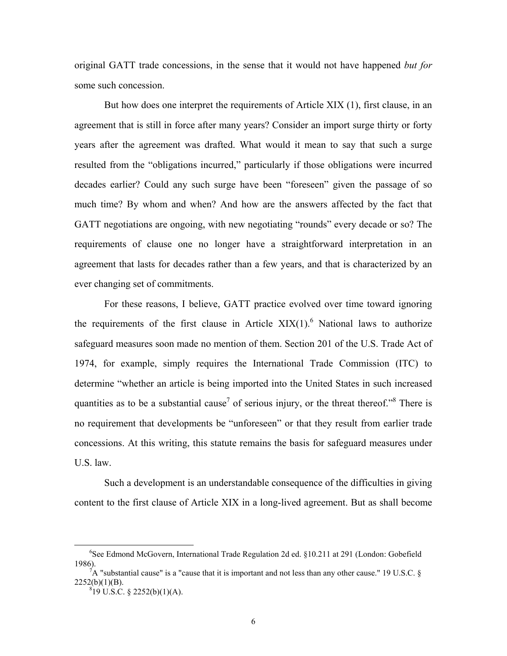original GATT trade concessions, in the sense that it would not have happened *but for*  some such concession.

But how does one interpret the requirements of Article XIX (1), first clause, in an agreement that is still in force after many years? Consider an import surge thirty or forty years after the agreement was drafted. What would it mean to say that such a surge resulted from the "obligations incurred," particularly if those obligations were incurred decades earlier? Could any such surge have been "foreseen" given the passage of so much time? By whom and when? And how are the answers affected by the fact that GATT negotiations are ongoing, with new negotiating "rounds" every decade or so? The requirements of clause one no longer have a straightforward interpretation in an agreement that lasts for decades rather than a few years, and that is characterized by an ever changing set of commitments.

For these reasons, I believe, GATT practice evolved over time toward ignoring the requirements of the first clause in Article  $XIX(1)$ .<sup>[6](#page-7-0)</sup> National laws to authorize safeguard measures soon made no mention of them. Section 201 of the U.S. Trade Act of 1974, for example, simply requires the International Trade Commission (ITC) to determine "whether an article is being imported into the United States in such increased quantities as to be a substantial cause<sup>[7](#page-7-1)</sup> of serious injury, or the threat thereof.<sup>3[8](#page-7-2)</sup> There is no requirement that developments be "unforeseen" or that they result from earlier trade concessions. At this writing, this statute remains the basis for safeguard measures under U.S. law.

Such a development is an understandable consequence of the difficulties in giving content to the first clause of Article XIX in a long-lived agreement. But as shall become

<span id="page-7-0"></span> <sup>6</sup>  ${}^{6}$ See Edmond McGovern, International Trade Regulation 2d ed. §10.211 at 291 (London: Gobefield 1986). 7

<span id="page-7-1"></span> $\rm A$  "substantial cause" is a "cause that it is important and not less than any other cause." 19 U.S.C. §  $2252(b)(1)(B)$ .

<span id="page-7-2"></span> ${}^{8}19$  U.S.C. § 2252(b)(1)(A).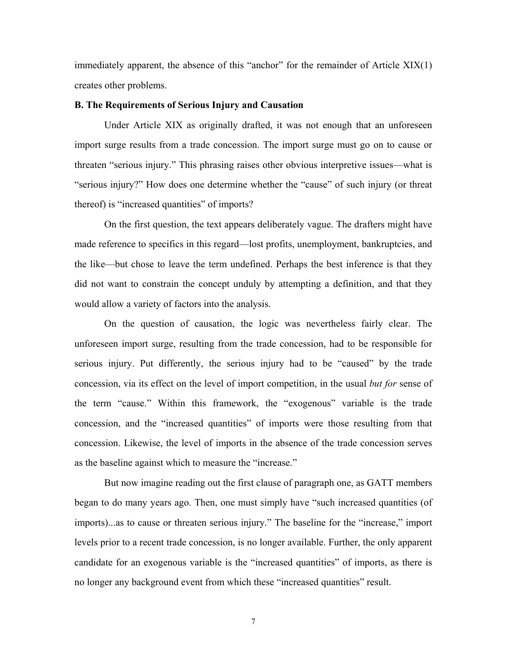immediately apparent, the absence of this "anchor" for the remainder of Article  $XIX(1)$ creates other problems.

#### **B. The Requirements of Serious Injury and Causation**

Under Article XIX as originally drafted, it was not enough that an unforeseen import surge results from a trade concession. The import surge must go on to cause or threaten "serious injury." This phrasing raises other obvious interpretive issues—what is "serious injury?" How does one determine whether the "cause" of such injury (or threat thereof) is "increased quantities" of imports?

On the first question, the text appears deliberately vague. The drafters might have made reference to specifics in this regard—lost profits, unemployment, bankruptcies, and the like—but chose to leave the term undefined. Perhaps the best inference is that they did not want to constrain the concept unduly by attempting a definition, and that they would allow a variety of factors into the analysis.

On the question of causation, the logic was nevertheless fairly clear. The unforeseen import surge, resulting from the trade concession, had to be responsible for serious injury. Put differently, the serious injury had to be "caused" by the trade concession, via its effect on the level of import competition, in the usual *but for* sense of the term "cause." Within this framework, the "exogenous" variable is the trade concession, and the "increased quantities" of imports were those resulting from that concession. Likewise, the level of imports in the absence of the trade concession serves as the baseline against which to measure the "increase."

But now imagine reading out the first clause of paragraph one, as GATT members began to do many years ago. Then, one must simply have "such increased quantities (of imports)...as to cause or threaten serious injury." The baseline for the "increase," import levels prior to a recent trade concession, is no longer available. Further, the only apparent candidate for an exogenous variable is the "increased quantities" of imports, as there is no longer any background event from which these "increased quantities" result.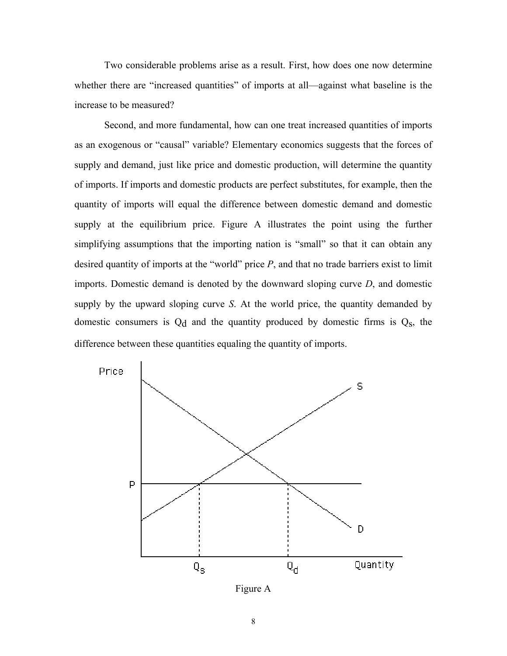Two considerable problems arise as a result. First, how does one now determine whether there are "increased quantities" of imports at all—against what baseline is the increase to be measured?

Second, and more fundamental, how can one treat increased quantities of imports as an exogenous or "causal" variable? Elementary economics suggests that the forces of supply and demand, just like price and domestic production, will determine the quantity of imports. If imports and domestic products are perfect substitutes, for example, then the quantity of imports will equal the difference between domestic demand and domestic supply at the equilibrium price. Figure A illustrates the point using the further simplifying assumptions that the importing nation is "small" so that it can obtain any desired quantity of imports at the "world" price *P*, and that no trade barriers exist to limit imports. Domestic demand is denoted by the downward sloping curve *D*, and domestic supply by the upward sloping curve *S*. At the world price, the quantity demanded by domestic consumers is  $Q_d$  and the quantity produced by domestic firms is  $Q_s$ , the difference between these quantities equaling the quantity of imports.



Figure A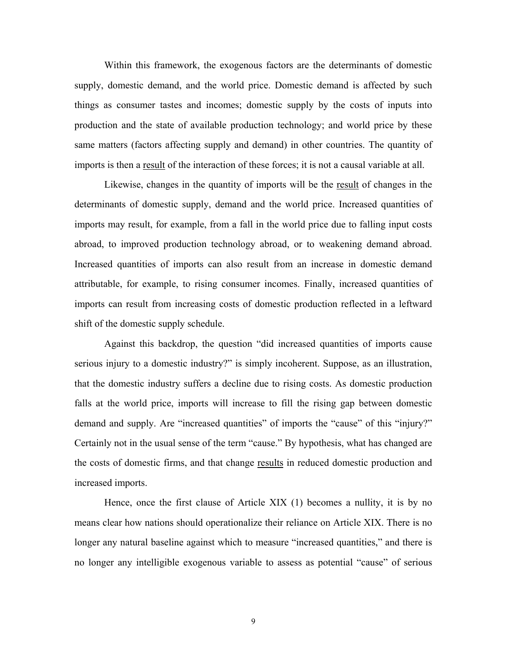Within this framework, the exogenous factors are the determinants of domestic supply, domestic demand, and the world price. Domestic demand is affected by such things as consumer tastes and incomes; domestic supply by the costs of inputs into production and the state of available production technology; and world price by these same matters (factors affecting supply and demand) in other countries. The quantity of imports is then a result of the interaction of these forces; it is not a causal variable at all.

Likewise, changes in the quantity of imports will be the result of changes in the determinants of domestic supply, demand and the world price. Increased quantities of imports may result, for example, from a fall in the world price due to falling input costs abroad, to improved production technology abroad, or to weakening demand abroad. Increased quantities of imports can also result from an increase in domestic demand attributable, for example, to rising consumer incomes. Finally, increased quantities of imports can result from increasing costs of domestic production reflected in a leftward shift of the domestic supply schedule.

Against this backdrop, the question "did increased quantities of imports cause serious injury to a domestic industry?" is simply incoherent. Suppose, as an illustration, that the domestic industry suffers a decline due to rising costs. As domestic production falls at the world price, imports will increase to fill the rising gap between domestic demand and supply. Are "increased quantities" of imports the "cause" of this "injury?" Certainly not in the usual sense of the term "cause." By hypothesis, what has changed are the costs of domestic firms, and that change results in reduced domestic production and increased imports.

Hence, once the first clause of Article XIX (1) becomes a nullity, it is by no means clear how nations should operationalize their reliance on Article XIX. There is no longer any natural baseline against which to measure "increased quantities," and there is no longer any intelligible exogenous variable to assess as potential "cause" of serious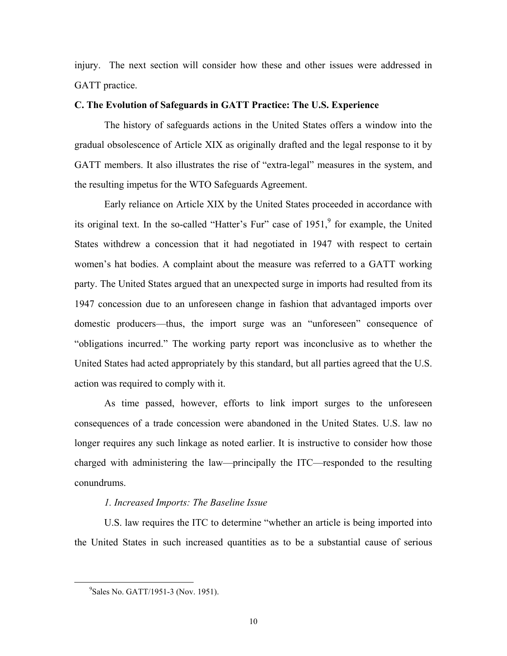injury. The next section will consider how these and other issues were addressed in GATT practice.

#### **C. The Evolution of Safeguards in GATT Practice: The U.S. Experience**

The history of safeguards actions in the United States offers a window into the gradual obsolescence of Article XIX as originally drafted and the legal response to it by GATT members. It also illustrates the rise of "extra-legal" measures in the system, and the resulting impetus for the WTO Safeguards Agreement.

Early reliance on Article XIX by the United States proceeded in accordance with its original text. In the so-called "Hatter's Fur" case of  $1951$  $1951$  $1951$ , for example, the United States withdrew a concession that it had negotiated in 1947 with respect to certain women's hat bodies. A complaint about the measure was referred to a GATT working party. The United States argued that an unexpected surge in imports had resulted from its 1947 concession due to an unforeseen change in fashion that advantaged imports over domestic producers—thus, the import surge was an "unforeseen" consequence of "obligations incurred." The working party report was inconclusive as to whether the United States had acted appropriately by this standard, but all parties agreed that the U.S. action was required to comply with it.

As time passed, however, efforts to link import surges to the unforeseen consequences of a trade concession were abandoned in the United States. U.S. law no longer requires any such linkage as noted earlier. It is instructive to consider how those charged with administering the law—principally the ITC—responded to the resulting conundrums.

#### *1. Increased Imports: The Baseline Issue*

U.S. law requires the ITC to determine "whether an article is being imported into the United States in such increased quantities as to be a substantial cause of serious

<span id="page-11-0"></span> $\frac{1}{9}$ <sup>9</sup>Sales No. GATT/1951-3 (Nov. 1951).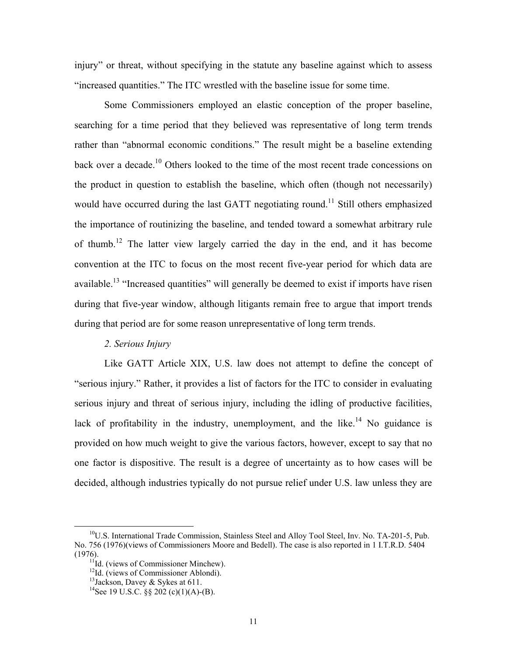injury" or threat, without specifying in the statute any baseline against which to assess "increased quantities." The ITC wrestled with the baseline issue for some time.

Some Commissioners employed an elastic conception of the proper baseline, searching for a time period that they believed was representative of long term trends rather than "abnormal economic conditions." The result might be a baseline extending back over a decade.<sup>[10](#page-12-0)</sup> Others looked to the time of the most recent trade concessions on the product in question to establish the baseline, which often (though not necessarily) would have occurred during the last GATT negotiating round.<sup>[11](#page-12-1)</sup> Still others emphasized the importance of routinizing the baseline, and tended toward a somewhat arbitrary rule of thumb.<sup>[12](#page-12-2)</sup> The latter view largely carried the day in the end, and it has become convention at the ITC to focus on the most recent five-year period for which data are available.<sup>[13](#page-12-3)</sup> "Increased quantities" will generally be deemed to exist if imports have risen during that five-year window, although litigants remain free to argue that import trends during that period are for some reason unrepresentative of long term trends.

#### *2. Serious Injury*

Like GATT Article XIX, U.S. law does not attempt to define the concept of "serious injury." Rather, it provides a list of factors for the ITC to consider in evaluating serious injury and threat of serious injury, including the idling of productive facilities, lack of profitability in the industry, unemployment, and the like.<sup>[14](#page-12-4)</sup> No guidance is provided on how much weight to give the various factors, however, except to say that no one factor is dispositive. The result is a degree of uncertainty as to how cases will be decided, although industries typically do not pursue relief under U.S. law unless they are

<span id="page-12-0"></span> $^{10}$ U.S. International Trade Commission, Stainless Steel and Alloy Tool Steel, Inv. No. TA-201-5, Pub. No. 756 (1976)(views of Commissioners Moore and Bedell). The case is also reported in 1 I.T.R.D. 5404 (1976).<br><sup>11</sup>Id. (views of Commissioner Minchew).<br><sup>12</sup>Id. (views of Commissioner Ablondi).<br><sup>13</sup>Jackson, Davey & Sykes at 611.<br><sup>14</sup>See 19 U.S.C. §§ 202 (c)(1)(A)-(B).

<span id="page-12-1"></span>

<span id="page-12-2"></span>

<span id="page-12-3"></span>

<span id="page-12-4"></span>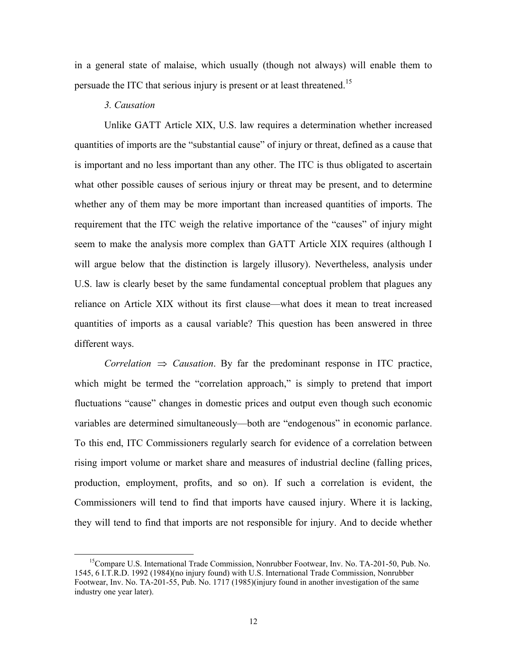in a general state of malaise, which usually (though not always) will enable them to persuade the ITC that serious injury is present or at least threatened.<sup>[15](#page-13-0)</sup>

#### *3. Causation*

Unlike GATT Article XIX, U.S. law requires a determination whether increased quantities of imports are the "substantial cause" of injury or threat, defined as a cause that is important and no less important than any other. The ITC is thus obligated to ascertain what other possible causes of serious injury or threat may be present, and to determine whether any of them may be more important than increased quantities of imports. The requirement that the ITC weigh the relative importance of the "causes" of injury might seem to make the analysis more complex than GATT Article XIX requires (although I will argue below that the distinction is largely illusory). Nevertheless, analysis under U.S. law is clearly beset by the same fundamental conceptual problem that plagues any reliance on Article XIX without its first clause—what does it mean to treat increased quantities of imports as a causal variable? This question has been answered in three different ways.

*Correlation*  $\Rightarrow$  *Causation*. By far the predominant response in ITC practice, which might be termed the "correlation approach," is simply to pretend that import fluctuations "cause" changes in domestic prices and output even though such economic variables are determined simultaneously—both are "endogenous" in economic parlance. To this end, ITC Commissioners regularly search for evidence of a correlation between rising import volume or market share and measures of industrial decline (falling prices, production, employment, profits, and so on). If such a correlation is evident, the Commissioners will tend to find that imports have caused injury. Where it is lacking, they will tend to find that imports are not responsible for injury. And to decide whether

<span id="page-13-0"></span><sup>&</sup>lt;sup>15</sup>Compare U.S. International Trade Commission, Nonrubber Footwear, Inv. No. TA-201-50, Pub. No. 1545, 6 I.T.R.D. 1992 (1984)(no injury found) with U.S. International Trade Commission, Nonrubber Footwear, Inv. No. TA-201-55, Pub. No. 1717 (1985)(injury found in another investigation of the same industry one year later).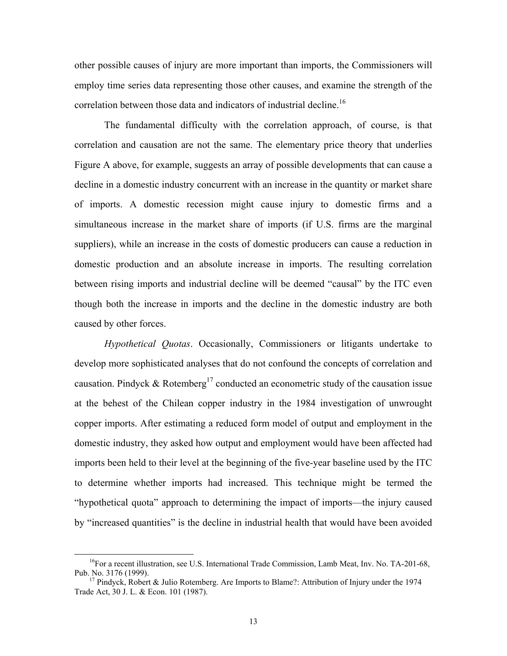other possible causes of injury are more important than imports, the Commissioners will employ time series data representing those other causes, and examine the strength of the correlation between those data and indicators of industrial decline.<sup>[16](#page-14-0)</sup>

The fundamental difficulty with the correlation approach, of course, is that correlation and causation are not the same. The elementary price theory that underlies Figure A above, for example, suggests an array of possible developments that can cause a decline in a domestic industry concurrent with an increase in the quantity or market share of imports. A domestic recession might cause injury to domestic firms and a simultaneous increase in the market share of imports (if U.S. firms are the marginal suppliers), while an increase in the costs of domestic producers can cause a reduction in domestic production and an absolute increase in imports. The resulting correlation between rising imports and industrial decline will be deemed "causal" by the ITC even though both the increase in imports and the decline in the domestic industry are both caused by other forces.

*Hypothetical Quotas*. Occasionally, Commissioners or litigants undertake to develop more sophisticated analyses that do not confound the concepts of correlation and causation. Pindyck & Rotemberg<sup>[17](#page-14-1)</sup> conducted an econometric study of the causation issue at the behest of the Chilean copper industry in the 1984 investigation of unwrought copper imports. After estimating a reduced form model of output and employment in the domestic industry, they asked how output and employment would have been affected had imports been held to their level at the beginning of the five-year baseline used by the ITC to determine whether imports had increased. This technique might be termed the "hypothetical quota" approach to determining the impact of imports—the injury caused by "increased quantities" is the decline in industrial health that would have been avoided

<span id="page-14-0"></span><sup>&</sup>lt;sup>16</sup>For a recent illustration, see U.S. International Trade Commission, Lamb Meat, Inv. No. TA-201-68, Pub. No. 3176 (1999). 17 Pindyck, Robert & Julio Rotemberg. Are Imports to Blame?: Attribution of Injury under the 1974

<span id="page-14-1"></span>Trade Act, 30 J. L. & Econ. 101 (1987).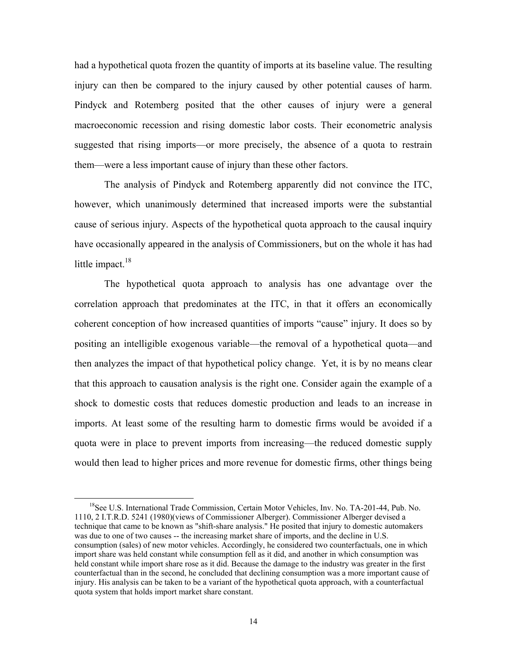had a hypothetical quota frozen the quantity of imports at its baseline value. The resulting injury can then be compared to the injury caused by other potential causes of harm. Pindyck and Rotemberg posited that the other causes of injury were a general macroeconomic recession and rising domestic labor costs. Their econometric analysis suggested that rising imports—or more precisely, the absence of a quota to restrain them—were a less important cause of injury than these other factors.

The analysis of Pindyck and Rotemberg apparently did not convince the ITC, however, which unanimously determined that increased imports were the substantial cause of serious injury. Aspects of the hypothetical quota approach to the causal inquiry have occasionally appeared in the analysis of Commissioners, but on the whole it has had little impact. $18$ 

The hypothetical quota approach to analysis has one advantage over the correlation approach that predominates at the ITC, in that it offers an economically coherent conception of how increased quantities of imports "cause" injury. It does so by positing an intelligible exogenous variable—the removal of a hypothetical quota—and then analyzes the impact of that hypothetical policy change. Yet, it is by no means clear that this approach to causation analysis is the right one. Consider again the example of a shock to domestic costs that reduces domestic production and leads to an increase in imports. At least some of the resulting harm to domestic firms would be avoided if a quota were in place to prevent imports from increasing—the reduced domestic supply would then lead to higher prices and more revenue for domestic firms, other things being

<span id="page-15-0"></span><sup>&</sup>lt;sup>18</sup>See U.S. International Trade Commission, Certain Motor Vehicles, Inv. No. TA-201-44, Pub. No. 1110, 2 I.T.R.D. 5241 (1980)(views of Commissioner Alberger). Commissioner Alberger devised a technique that came to be known as "shift-share analysis." He posited that injury to domestic automakers was due to one of two causes -- the increasing market share of imports, and the decline in U.S. consumption (sales) of new motor vehicles. Accordingly, he considered two counterfactuals, one in which import share was held constant while consumption fell as it did, and another in which consumption was held constant while import share rose as it did. Because the damage to the industry was greater in the first counterfactual than in the second, he concluded that declining consumption was a more important cause of injury. His analysis can be taken to be a variant of the hypothetical quota approach, with a counterfactual quota system that holds import market share constant.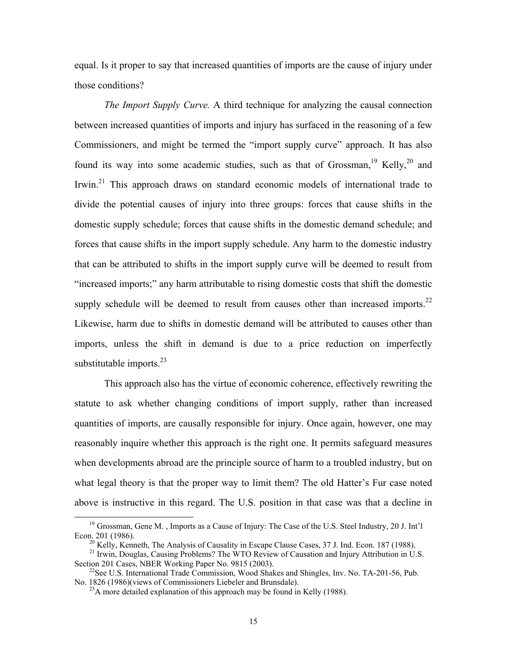equal. Is it proper to say that increased quantities of imports are the cause of injury under those conditions?

*The Import Supply Curve.* A third technique for analyzing the causal connection between increased quantities of imports and injury has surfaced in the reasoning of a few Commissioners, and might be termed the "import supply curve" approach. It has also found its way into some academic studies, such as that of Grossman.<sup>[19](#page-16-0)</sup> Kelly.<sup>[20](#page-16-1)</sup> and Irwin.<sup>[21](#page-16-2)</sup> This approach draws on standard economic models of international trade to divide the potential causes of injury into three groups: forces that cause shifts in the domestic supply schedule; forces that cause shifts in the domestic demand schedule; and forces that cause shifts in the import supply schedule. Any harm to the domestic industry that can be attributed to shifts in the import supply curve will be deemed to result from "increased imports;" any harm attributable to rising domestic costs that shift the domestic supply schedule will be deemed to result from causes other than increased imports.<sup>[22](#page-16-3)</sup> Likewise, harm due to shifts in domestic demand will be attributed to causes other than imports, unless the shift in demand is due to a price reduction on imperfectly substitutable imports. $^{23}$  $^{23}$  $^{23}$ 

This approach also has the virtue of economic coherence, effectively rewriting the statute to ask whether changing conditions of import supply, rather than increased quantities of imports, are causally responsible for injury. Once again, however, one may reasonably inquire whether this approach is the right one. It permits safeguard measures when developments abroad are the principle source of harm to a troubled industry, but on what legal theory is that the proper way to limit them? The old Hatter's Fur case noted above is instructive in this regard. The U.S. position in that case was that a decline in

<sup>&</sup>lt;sup>19</sup> Grossman, Gene M., Imports as a Cause of Injury: The Case of the U.S. Steel Industry, 20 J. Int'l Econ. 201 (1986).

<span id="page-16-2"></span><span id="page-16-1"></span><span id="page-16-0"></span>

<sup>&</sup>lt;sup>20</sup> Kelly, Kenneth, The Analysis of Causality in Escape Clause Cases, 37 J. Ind. Econ. 187 (1988). <sup>21</sup> Irwin, Douglas, Causing Problems? The WTO Review of Causation and Injury Attribution in U.S. Section 201 Cases, NBER

 $^{22}$ See U.S. International Trade Commission, Wood Shakes and Shingles, Inv. No. TA-201-56, Pub. No. 1826 (1986)(views of Commissioners Liebeler and Brunsdale).

<span id="page-16-4"></span><span id="page-16-3"></span> $^{23}$ A more detailed explanation of this approach may be found in Kelly (1988).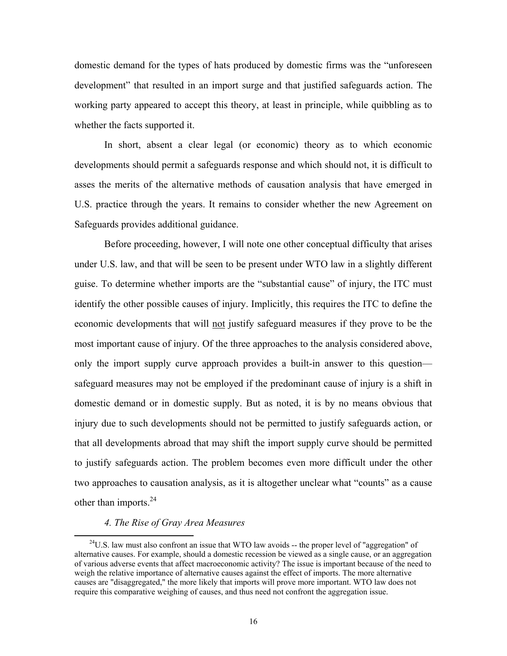domestic demand for the types of hats produced by domestic firms was the "unforeseen development" that resulted in an import surge and that justified safeguards action. The working party appeared to accept this theory, at least in principle, while quibbling as to whether the facts supported it.

In short, absent a clear legal (or economic) theory as to which economic developments should permit a safeguards response and which should not, it is difficult to asses the merits of the alternative methods of causation analysis that have emerged in U.S. practice through the years. It remains to consider whether the new Agreement on Safeguards provides additional guidance.

Before proceeding, however, I will note one other conceptual difficulty that arises under U.S. law, and that will be seen to be present under WTO law in a slightly different guise. To determine whether imports are the "substantial cause" of injury, the ITC must identify the other possible causes of injury. Implicitly, this requires the ITC to define the economic developments that will not justify safeguard measures if they prove to be the most important cause of injury. Of the three approaches to the analysis considered above, only the import supply curve approach provides a built-in answer to this question safeguard measures may not be employed if the predominant cause of injury is a shift in domestic demand or in domestic supply. But as noted, it is by no means obvious that injury due to such developments should not be permitted to justify safeguards action, or that all developments abroad that may shift the import supply curve should be permitted to justify safeguards action. The problem becomes even more difficult under the other two approaches to causation analysis, as it is altogether unclear what "counts" as a cause other than imports.<sup>[24](#page-17-0)</sup>

#### *4. The Rise of Gray Area Measures*

<span id="page-17-0"></span> $^{24}$ U.S. law must also confront an issue that WTO law avoids  $-$  the proper level of "aggregation" of alternative causes. For example, should a domestic recession be viewed as a single cause, or an aggregation of various adverse events that affect macroeconomic activity? The issue is important because of the need to weigh the relative importance of alternative causes against the effect of imports. The more alternative causes are "disaggregated," the more likely that imports will prove more important. WTO law does not require this comparative weighing of causes, and thus need not confront the aggregation issue.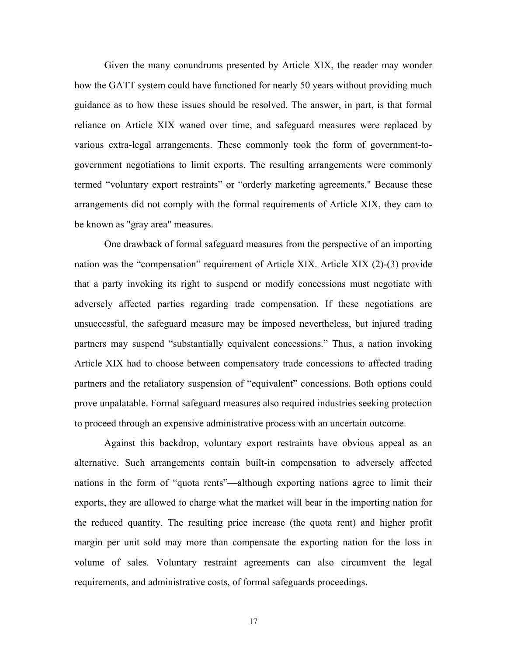Given the many conundrums presented by Article XIX, the reader may wonder how the GATT system could have functioned for nearly 50 years without providing much guidance as to how these issues should be resolved. The answer, in part, is that formal reliance on Article XIX waned over time, and safeguard measures were replaced by various extra-legal arrangements. These commonly took the form of government-togovernment negotiations to limit exports. The resulting arrangements were commonly termed "voluntary export restraints" or "orderly marketing agreements." Because these arrangements did not comply with the formal requirements of Article XIX, they cam to be known as "gray area" measures.

One drawback of formal safeguard measures from the perspective of an importing nation was the "compensation" requirement of Article XIX. Article XIX (2)-(3) provide that a party invoking its right to suspend or modify concessions must negotiate with adversely affected parties regarding trade compensation. If these negotiations are unsuccessful, the safeguard measure may be imposed nevertheless, but injured trading partners may suspend "substantially equivalent concessions." Thus, a nation invoking Article XIX had to choose between compensatory trade concessions to affected trading partners and the retaliatory suspension of "equivalent" concessions. Both options could prove unpalatable. Formal safeguard measures also required industries seeking protection to proceed through an expensive administrative process with an uncertain outcome.

Against this backdrop, voluntary export restraints have obvious appeal as an alternative. Such arrangements contain built-in compensation to adversely affected nations in the form of "quota rents"—although exporting nations agree to limit their exports, they are allowed to charge what the market will bear in the importing nation for the reduced quantity. The resulting price increase (the quota rent) and higher profit margin per unit sold may more than compensate the exporting nation for the loss in volume of sales. Voluntary restraint agreements can also circumvent the legal requirements, and administrative costs, of formal safeguards proceedings.

17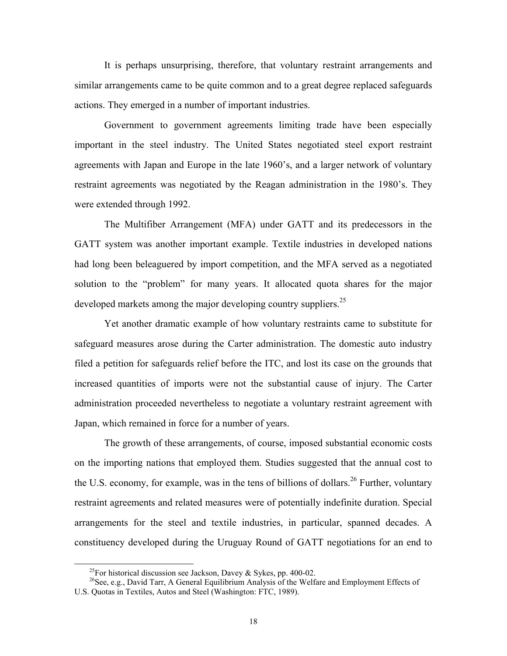It is perhaps unsurprising, therefore, that voluntary restraint arrangements and similar arrangements came to be quite common and to a great degree replaced safeguards actions. They emerged in a number of important industries.

Government to government agreements limiting trade have been especially important in the steel industry. The United States negotiated steel export restraint agreements with Japan and Europe in the late 1960's, and a larger network of voluntary restraint agreements was negotiated by the Reagan administration in the 1980's. They were extended through 1992.

The Multifiber Arrangement (MFA) under GATT and its predecessors in the GATT system was another important example. Textile industries in developed nations had long been beleaguered by import competition, and the MFA served as a negotiated solution to the "problem" for many years. It allocated quota shares for the major developed markets among the major developing country suppliers.<sup>[25](#page-19-0)</sup>

Yet another dramatic example of how voluntary restraints came to substitute for safeguard measures arose during the Carter administration. The domestic auto industry filed a petition for safeguards relief before the ITC, and lost its case on the grounds that increased quantities of imports were not the substantial cause of injury. The Carter administration proceeded nevertheless to negotiate a voluntary restraint agreement with Japan, which remained in force for a number of years.

The growth of these arrangements, of course, imposed substantial economic costs on the importing nations that employed them. Studies suggested that the annual cost to the U.S. economy, for example, was in the tens of billions of dollars.<sup>[26](#page-19-1)</sup> Further, voluntary restraint agreements and related measures were of potentially indefinite duration. Special arrangements for the steel and textile industries, in particular, spanned decades. A constituency developed during the Uruguay Round of GATT negotiations for an end to

<span id="page-19-1"></span><span id="page-19-0"></span>

<sup>&</sup>lt;sup>25</sup>For historical discussion see Jackson, Davey & Sykes, pp. 400-02.<br><sup>26</sup>See, e.g., David Tarr, A General Equilibrium Analysis of the Welfare and Employment Effects of U.S. Quotas in Textiles, Autos and Steel (Washington: FTC, 1989).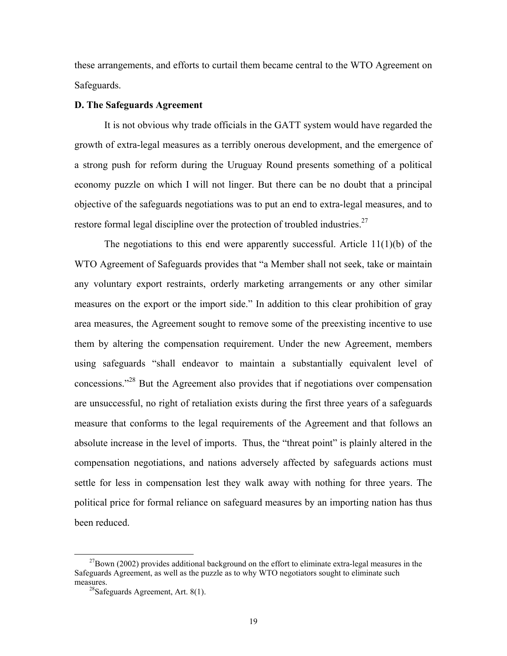these arrangements, and efforts to curtail them became central to the WTO Agreement on Safeguards.

#### **D. The Safeguards Agreement**

It is not obvious why trade officials in the GATT system would have regarded the growth of extra-legal measures as a terribly onerous development, and the emergence of a strong push for reform during the Uruguay Round presents something of a political economy puzzle on which I will not linger. But there can be no doubt that a principal objective of the safeguards negotiations was to put an end to extra-legal measures, and to restore formal legal discipline over the protection of troubled industries.<sup>[27](#page-20-0)</sup>

The negotiations to this end were apparently successful. Article  $11(1)(b)$  of the WTO Agreement of Safeguards provides that "a Member shall not seek, take or maintain any voluntary export restraints, orderly marketing arrangements or any other similar measures on the export or the import side." In addition to this clear prohibition of gray area measures, the Agreement sought to remove some of the preexisting incentive to use them by altering the compensation requirement. Under the new Agreement, members using safeguards "shall endeavor to maintain a substantially equivalent level of concessions."[28](#page-20-1) But the Agreement also provides that if negotiations over compensation are unsuccessful, no right of retaliation exists during the first three years of a safeguards measure that conforms to the legal requirements of the Agreement and that follows an absolute increase in the level of imports. Thus, the "threat point" is plainly altered in the compensation negotiations, and nations adversely affected by safeguards actions must settle for less in compensation lest they walk away with nothing for three years. The political price for formal reliance on safeguard measures by an importing nation has thus been reduced.

<span id="page-20-0"></span> $^{27}$ Bown (2002) provides additional background on the effort to eliminate extra-legal measures in the Safeguards Agreement, as well as the puzzle as to why WTO negotiators sought to eliminate such measures.<br><sup>28</sup>Safeguards Agreement, Art. 8(1).

<span id="page-20-1"></span>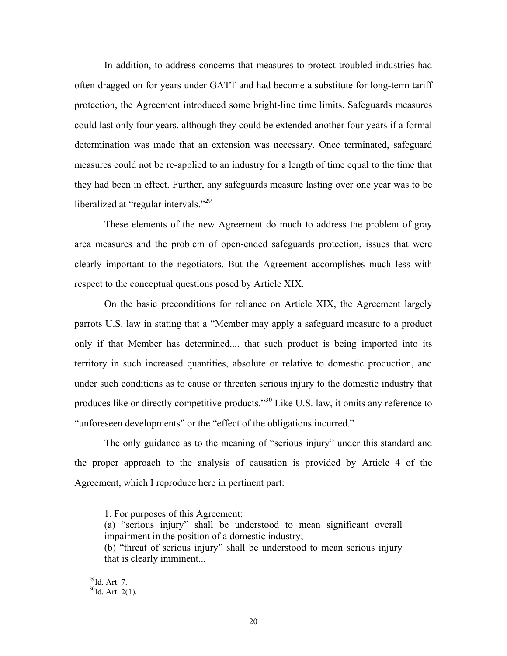In addition, to address concerns that measures to protect troubled industries had often dragged on for years under GATT and had become a substitute for long-term tariff protection, the Agreement introduced some bright-line time limits. Safeguards measures could last only four years, although they could be extended another four years if a formal determination was made that an extension was necessary. Once terminated, safeguard measures could not be re-applied to an industry for a length of time equal to the time that they had been in effect. Further, any safeguards measure lasting over one year was to be liberalized at "regular intervals."<sup>[29](#page-21-0)</sup>

These elements of the new Agreement do much to address the problem of gray area measures and the problem of open-ended safeguards protection, issues that were clearly important to the negotiators. But the Agreement accomplishes much less with respect to the conceptual questions posed by Article XIX.

On the basic preconditions for reliance on Article XIX, the Agreement largely parrots U.S. law in stating that a "Member may apply a safeguard measure to a product only if that Member has determined.... that such product is being imported into its territory in such increased quantities, absolute or relative to domestic production, and under such conditions as to cause or threaten serious injury to the domestic industry that produces like or directly competitive products."[30](#page-21-1) Like U.S. law, it omits any reference to "unforeseen developments" or the "effect of the obligations incurred."

The only guidance as to the meaning of "serious injury" under this standard and the proper approach to the analysis of causation is provided by Article 4 of the Agreement, which I reproduce here in pertinent part:

(b) "threat of serious injury" shall be understood to mean serious injury that is clearly imminent...

<sup>1.</sup> For purposes of this Agreement:

<sup>(</sup>a) "serious injury" shall be understood to mean significant overall impairment in the position of a domestic industry;

<span id="page-21-0"></span> $^{29}$ Id. Art. 7.

<span id="page-21-1"></span> $30$ Id. Art. 2(1).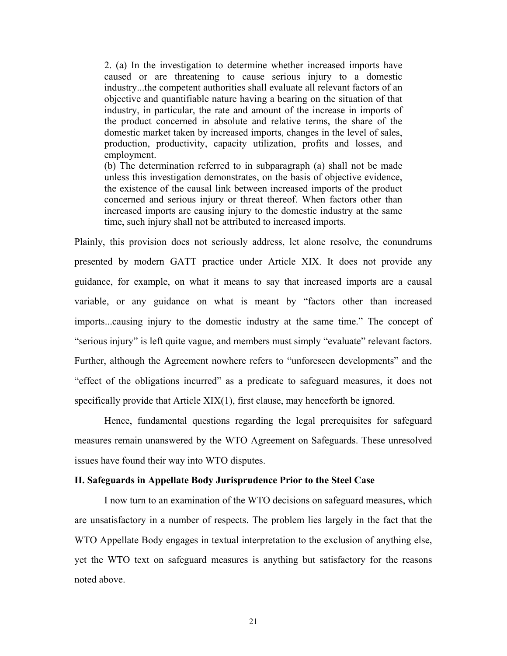2. (a) In the investigation to determine whether increased imports have caused or are threatening to cause serious injury to a domestic industry...the competent authorities shall evaluate all relevant factors of an objective and quantifiable nature having a bearing on the situation of that industry, in particular, the rate and amount of the increase in imports of the product concerned in absolute and relative terms, the share of the domestic market taken by increased imports, changes in the level of sales, production, productivity, capacity utilization, profits and losses, and employment.

(b) The determination referred to in subparagraph (a) shall not be made unless this investigation demonstrates, on the basis of objective evidence, the existence of the causal link between increased imports of the product concerned and serious injury or threat thereof. When factors other than increased imports are causing injury to the domestic industry at the same time, such injury shall not be attributed to increased imports.

Plainly, this provision does not seriously address, let alone resolve, the conundrums presented by modern GATT practice under Article XIX. It does not provide any guidance, for example, on what it means to say that increased imports are a causal variable, or any guidance on what is meant by "factors other than increased imports...causing injury to the domestic industry at the same time." The concept of "serious injury" is left quite vague, and members must simply "evaluate" relevant factors. Further, although the Agreement nowhere refers to "unforeseen developments" and the "effect of the obligations incurred" as a predicate to safeguard measures, it does not specifically provide that Article XIX(1), first clause, may henceforth be ignored.

Hence, fundamental questions regarding the legal prerequisites for safeguard measures remain unanswered by the WTO Agreement on Safeguards. These unresolved issues have found their way into WTO disputes.

#### **II. Safeguards in Appellate Body Jurisprudence Prior to the Steel Case**

I now turn to an examination of the WTO decisions on safeguard measures, which are unsatisfactory in a number of respects. The problem lies largely in the fact that the WTO Appellate Body engages in textual interpretation to the exclusion of anything else, yet the WTO text on safeguard measures is anything but satisfactory for the reasons noted above.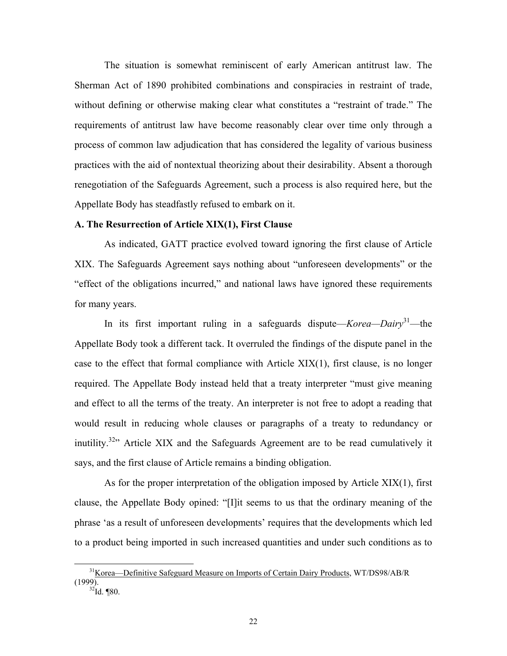The situation is somewhat reminiscent of early American antitrust law. The Sherman Act of 1890 prohibited combinations and conspiracies in restraint of trade, without defining or otherwise making clear what constitutes a "restraint of trade." The requirements of antitrust law have become reasonably clear over time only through a process of common law adjudication that has considered the legality of various business practices with the aid of nontextual theorizing about their desirability. Absent a thorough renegotiation of the Safeguards Agreement, such a process is also required here, but the Appellate Body has steadfastly refused to embark on it.

#### **A. The Resurrection of Article XIX(1), First Clause**

As indicated, GATT practice evolved toward ignoring the first clause of Article XIX. The Safeguards Agreement says nothing about "unforeseen developments" or the "effect of the obligations incurred," and national laws have ignored these requirements for many years.

In its first important ruling in a safeguards dispute—*Korea—Dairy*[31](#page-23-0)—the Appellate Body took a different tack. It overruled the findings of the dispute panel in the case to the effect that formal compliance with Article XIX(1), first clause, is no longer required. The Appellate Body instead held that a treaty interpreter "must give meaning and effect to all the terms of the treaty. An interpreter is not free to adopt a reading that would result in reducing whole clauses or paragraphs of a treaty to redundancy or inutility.<sup>[32](#page-23-1)</sup><sup>2</sup> Article XIX and the Safeguards Agreement are to be read cumulatively it says, and the first clause of Article remains a binding obligation.

As for the proper interpretation of the obligation imposed by Article XIX(1), first clause, the Appellate Body opined: "[I]it seems to us that the ordinary meaning of the phrase 'as a result of unforeseen developments' requires that the developments which led to a product being imported in such increased quantities and under such conditions as to

<span id="page-23-1"></span><span id="page-23-0"></span><sup>&</sup>lt;sup>31</sup>Korea—Definitive Safeguard Measure on Imports of Certain Dairy Products, WT/DS98/AB/R  $(1999)$ .<br> $^{32}$ Id. ¶80.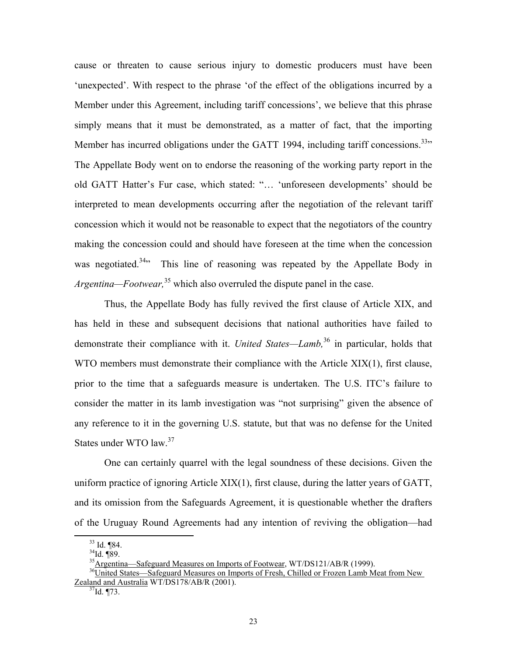cause or threaten to cause serious injury to domestic producers must have been 'unexpected'. With respect to the phrase 'of the effect of the obligations incurred by a Member under this Agreement, including tariff concessions', we believe that this phrase simply means that it must be demonstrated, as a matter of fact, that the importing Member has incurred obligations under the GATT 1994, including tariff concessions.<sup>[33](#page-24-0)</sup>" The Appellate Body went on to endorse the reasoning of the working party report in the old GATT Hatter's Fur case, which stated: "… 'unforeseen developments' should be interpreted to mean developments occurring after the negotiation of the relevant tariff concession which it would not be reasonable to expect that the negotiators of the country making the concession could and should have foreseen at the time when the concession was negotiated.<sup>[34](#page-24-1)</sup><sup>24</sup> This line of reasoning was repeated by the Appellate Body in *Argentina—Footwear,*[35](#page-24-2) which also overruled the dispute panel in the case.

Thus, the Appellate Body has fully revived the first clause of Article XIX, and has held in these and subsequent decisions that national authorities have failed to demonstrate their compliance with it. *United States—Lamb*,<sup>[36](#page-24-3)</sup> in particular, holds that WTO members must demonstrate their compliance with the Article XIX(1), first clause, prior to the time that a safeguards measure is undertaken. The U.S. ITC's failure to consider the matter in its lamb investigation was "not surprising" given the absence of any reference to it in the governing U.S. statute, but that was no defense for the United States under WTO law.<sup>[37](#page-24-4)</sup>

One can certainly quarrel with the legal soundness of these decisions. Given the uniform practice of ignoring Article XIX(1), first clause, during the latter years of GATT, and its omission from the Safeguards Agreement, it is questionable whether the drafters of the Uruguay Round Agreements had any intention of reviving the obligation—had

<span id="page-24-0"></span> <sup>33</sup> Id. ¶84.

<span id="page-24-1"></span> $34$ Id. ¶89.

<span id="page-24-3"></span><span id="page-24-2"></span>

<sup>&</sup>lt;sup>35</sup>Argentina—Safeguard Measures on Imports of Footwear, WT/DS121/AB/R (1999).<br><sup>36</sup>United States—Safeguard Measures on Imports of Fresh, Chilled or Frozen Lamb Meat from New Zealand and Australia WT/DS178/AB/R  $(2001)$ .

<span id="page-24-4"></span>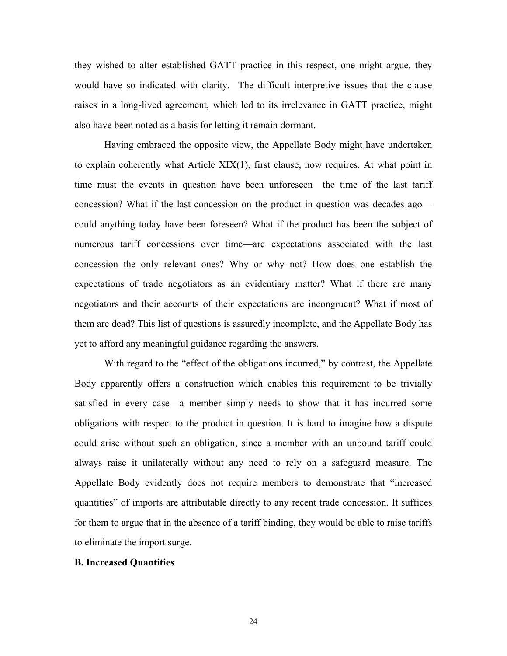they wished to alter established GATT practice in this respect, one might argue, they would have so indicated with clarity. The difficult interpretive issues that the clause raises in a long-lived agreement, which led to its irrelevance in GATT practice, might also have been noted as a basis for letting it remain dormant.

Having embraced the opposite view, the Appellate Body might have undertaken to explain coherently what Article XIX(1), first clause, now requires. At what point in time must the events in question have been unforeseen—the time of the last tariff concession? What if the last concession on the product in question was decades ago could anything today have been foreseen? What if the product has been the subject of numerous tariff concessions over time—are expectations associated with the last concession the only relevant ones? Why or why not? How does one establish the expectations of trade negotiators as an evidentiary matter? What if there are many negotiators and their accounts of their expectations are incongruent? What if most of them are dead? This list of questions is assuredly incomplete, and the Appellate Body has yet to afford any meaningful guidance regarding the answers.

With regard to the "effect of the obligations incurred," by contrast, the Appellate Body apparently offers a construction which enables this requirement to be trivially satisfied in every case—a member simply needs to show that it has incurred some obligations with respect to the product in question. It is hard to imagine how a dispute could arise without such an obligation, since a member with an unbound tariff could always raise it unilaterally without any need to rely on a safeguard measure. The Appellate Body evidently does not require members to demonstrate that "increased quantities" of imports are attributable directly to any recent trade concession. It suffices for them to argue that in the absence of a tariff binding, they would be able to raise tariffs to eliminate the import surge.

#### **B. Increased Quantities**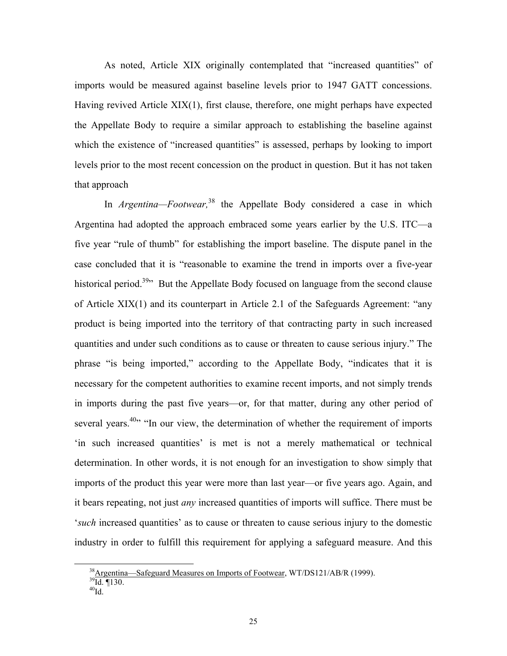As noted, Article XIX originally contemplated that "increased quantities" of imports would be measured against baseline levels prior to 1947 GATT concessions. Having revived Article XIX(1), first clause, therefore, one might perhaps have expected the Appellate Body to require a similar approach to establishing the baseline against which the existence of "increased quantities" is assessed, perhaps by looking to import levels prior to the most recent concession on the product in question. But it has not taken that approach

In *Argentina—Footwear*,<sup>[38](#page-26-0)</sup> the Appellate Body considered a case in which Argentina had adopted the approach embraced some years earlier by the U.S. ITC—a five year "rule of thumb" for establishing the import baseline. The dispute panel in the case concluded that it is "reasonable to examine the trend in imports over a five-year historical period.<sup>[39](#page-26-1)</sup> $\cdot$  But the Appellate Body focused on language from the second clause of Article XIX(1) and its counterpart in Article 2.1 of the Safeguards Agreement: "any product is being imported into the territory of that contracting party in such increased quantities and under such conditions as to cause or threaten to cause serious injury." The phrase "is being imported," according to the Appellate Body, "indicates that it is necessary for the competent authorities to examine recent imports, and not simply trends in imports during the past five years—or, for that matter, during any other period of several years.<sup> $40$ </sup> "In our view, the determination of whether the requirement of imports 'in such increased quantities' is met is not a merely mathematical or technical determination. In other words, it is not enough for an investigation to show simply that imports of the product this year were more than last year—or five years ago. Again, and it bears repeating, not just *any* increased quantities of imports will suffice. There must be '*such* increased quantities' as to cause or threaten to cause serious injury to the domestic industry in order to fulfill this requirement for applying a safeguard measure. And this

<sup>&</sup>lt;sup>38</sup>Argentina—Safeguard Measures on Imports of Footwear, WT/DS121/AB/R (1999).<br><sup>39</sup>Id. ¶130.

<span id="page-26-1"></span><span id="page-26-0"></span>

<span id="page-26-2"></span> $^{40}$ Id.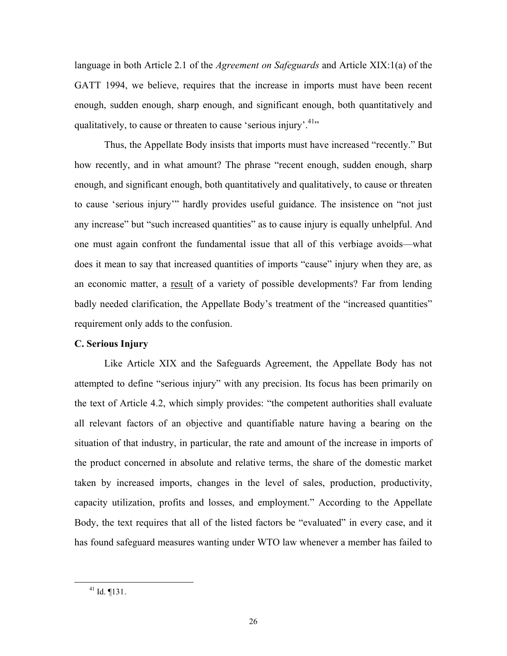language in both Article 2.1 of the *Agreement on Safeguards* and Article XIX:1(a) of the GATT 1994, we believe, requires that the increase in imports must have been recent enough, sudden enough, sharp enough, and significant enough, both quantitatively and qualitatively, to cause or threaten to cause 'serious injury'.<sup>[41](#page-27-0)</sup>"

Thus, the Appellate Body insists that imports must have increased "recently." But how recently, and in what amount? The phrase "recent enough, sudden enough, sharp enough, and significant enough, both quantitatively and qualitatively, to cause or threaten to cause 'serious injury'" hardly provides useful guidance. The insistence on "not just any increase" but "such increased quantities" as to cause injury is equally unhelpful. And one must again confront the fundamental issue that all of this verbiage avoids—what does it mean to say that increased quantities of imports "cause" injury when they are, as an economic matter, a result of a variety of possible developments? Far from lending badly needed clarification, the Appellate Body's treatment of the "increased quantities" requirement only adds to the confusion.

#### **C. Serious Injury**

Like Article XIX and the Safeguards Agreement, the Appellate Body has not attempted to define "serious injury" with any precision. Its focus has been primarily on the text of Article 4.2, which simply provides: "the competent authorities shall evaluate all relevant factors of an objective and quantifiable nature having a bearing on the situation of that industry, in particular, the rate and amount of the increase in imports of the product concerned in absolute and relative terms, the share of the domestic market taken by increased imports, changes in the level of sales, production, productivity, capacity utilization, profits and losses, and employment." According to the Appellate Body, the text requires that all of the listed factors be "evaluated" in every case, and it has found safeguard measures wanting under WTO law whenever a member has failed to

<span id="page-27-0"></span> <sup>41</sup> Id. ¶131.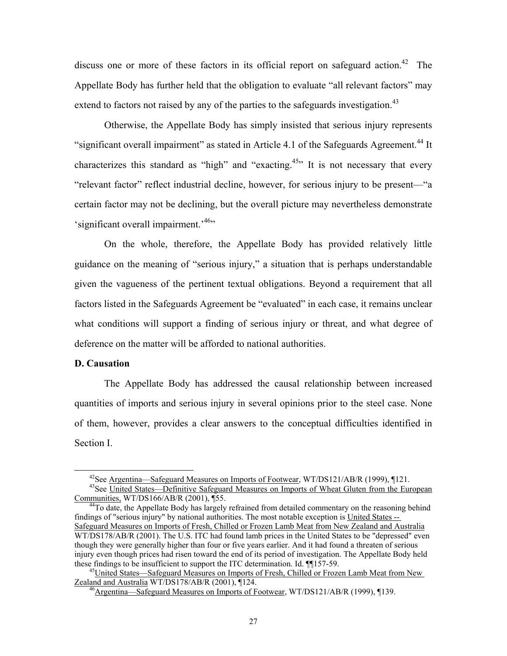discuss one or more of these factors in its official report on safeguard action.<sup>[42](#page-28-0)</sup> The Appellate Body has further held that the obligation to evaluate "all relevant factors" may extend to factors not raised by any of the parties to the safeguards investigation.<sup>[43](#page-28-1)</sup>

Otherwise, the Appellate Body has simply insisted that serious injury represents "significant overall impairment" as stated in Article 4.1 of the Safeguards Agreement.<sup>[44](#page-28-2)</sup> It characterizes this standard as "high" and "exacting.<sup>[45](#page-28-3)</sup>" It is not necessary that every "relevant factor" reflect industrial decline, however, for serious injury to be present—"a certain factor may not be declining, but the overall picture may nevertheless demonstrate 'significant overall impairment.<sup>[46](#page-28-4)</sup><sup>146</sup>

On the whole, therefore, the Appellate Body has provided relatively little guidance on the meaning of "serious injury," a situation that is perhaps understandable given the vagueness of the pertinent textual obligations. Beyond a requirement that all factors listed in the Safeguards Agreement be "evaluated" in each case, it remains unclear what conditions will support a finding of serious injury or threat, and what degree of deference on the matter will be afforded to national authorities.

#### **D. Causation**

The Appellate Body has addressed the causal relationship between increased quantities of imports and serious injury in several opinions prior to the steel case. None of them, however, provides a clear answers to the conceptual difficulties identified in Section I.

<span id="page-28-1"></span><span id="page-28-0"></span><sup>&</sup>lt;sup>42</sup>See <u>Argentina—Safeguard Measures on Imports of Footwear</u>, WT/DS121/AB/R (1999), ¶121. <sup>43</sup>See United States—Definitive Safeguard Measures on Imports of Wheat Gluten from the European

Communities, WT/DS166/AB/R (2001), ¶55. 44To date, the Appellate Body has largely refrained from detailed commentary on the reasoning behind

<span id="page-28-2"></span>findings of "serious injury" by national authorities. The most notable exception is United States -- Safeguard Measures on Imports of Fresh, Chilled or Frozen Lamb Meat from New Zealand and Australia WT/DS178/AB/R (2001). The U.S. ITC had found lamb prices in the United States to be "depressed" even though they were generally higher than four or five years earlier. And it had found a threaten of serious injury even though prices had risen toward the end of its period of investigation. The Appellate Body held these findings to be insufficient to support the ITC determination. Id.  $\P$ 157-59.

<sup>&</sup>lt;sup>45</sup>United States—Safeguard Measures on Imports of Fresh, Chilled or Frozen Lamb Meat from New Zealand and Australia WT/DS178/AB/R (2001),  $\P$ 124.

<span id="page-28-4"></span><span id="page-28-3"></span> $^{46}$ Argentina—Safeguard Measures on Imports of Footwear, WT/DS121/AB/R (1999), ¶139.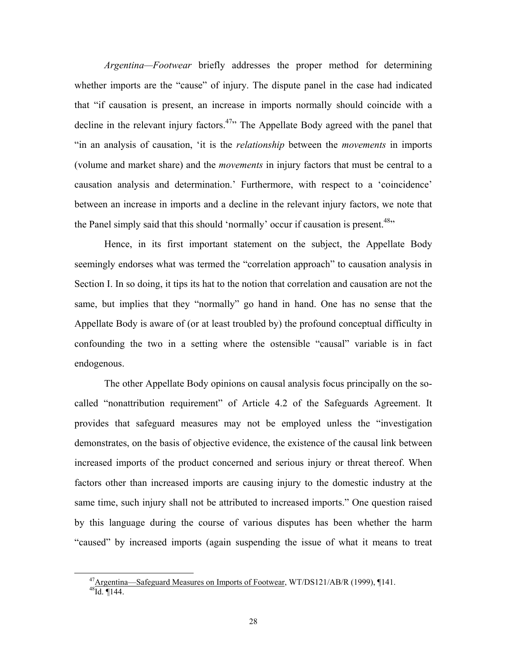*Argentina—Footwear* briefly addresses the proper method for determining whether imports are the "cause" of injury. The dispute panel in the case had indicated that "if causation is present, an increase in imports normally should coincide with a decline in the relevant injury factors.<sup>[47](#page-29-0)</sup><sup>,</sup> The Appellate Body agreed with the panel that "in an analysis of causation, 'it is the *relationship* between the *movements* in imports (volume and market share) and the *movements* in injury factors that must be central to a causation analysis and determination.' Furthermore, with respect to a 'coincidence' between an increase in imports and a decline in the relevant injury factors, we note that the Panel simply said that this should 'normally' occur if causation is present.<sup>[48](#page-29-1)</sup>"

Hence, in its first important statement on the subject, the Appellate Body seemingly endorses what was termed the "correlation approach" to causation analysis in Section I. In so doing, it tips its hat to the notion that correlation and causation are not the same, but implies that they "normally" go hand in hand. One has no sense that the Appellate Body is aware of (or at least troubled by) the profound conceptual difficulty in confounding the two in a setting where the ostensible "causal" variable is in fact endogenous.

The other Appellate Body opinions on causal analysis focus principally on the socalled "nonattribution requirement" of Article 4.2 of the Safeguards Agreement. It provides that safeguard measures may not be employed unless the "investigation demonstrates, on the basis of objective evidence, the existence of the causal link between increased imports of the product concerned and serious injury or threat thereof. When factors other than increased imports are causing injury to the domestic industry at the same time, such injury shall not be attributed to increased imports." One question raised by this language during the course of various disputes has been whether the harm "caused" by increased imports (again suspending the issue of what it means to treat

<span id="page-29-1"></span><span id="page-29-0"></span><sup>&</sup>lt;sup>47</sup>Argentina—Safeguard Measures on Imports of Footwear, WT/DS121/AB/R (1999), ¶141.<br><sup>48</sup>Id. ¶144.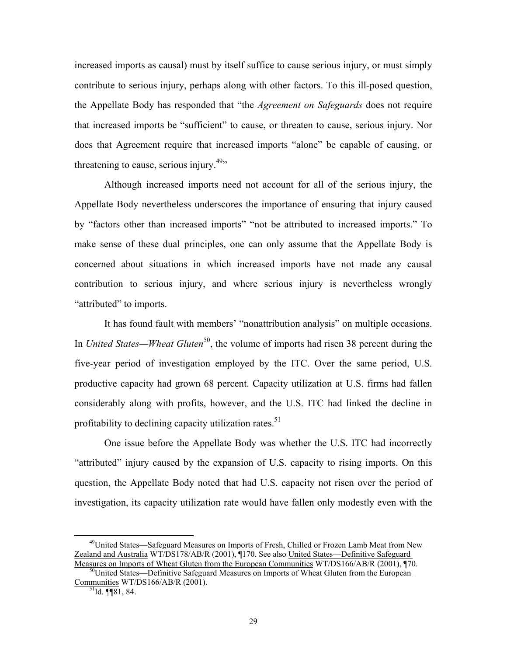increased imports as causal) must by itself suffice to cause serious injury, or must simply contribute to serious injury, perhaps along with other factors. To this ill-posed question, the Appellate Body has responded that "the *Agreement on Safeguards* does not require that increased imports be "sufficient" to cause, or threaten to cause, serious injury. Nor does that Agreement require that increased imports "alone" be capable of causing, or threatening to cause, serious injury.<sup>[49](#page-30-0)</sup>

Although increased imports need not account for all of the serious injury, the Appellate Body nevertheless underscores the importance of ensuring that injury caused by "factors other than increased imports" "not be attributed to increased imports." To make sense of these dual principles, one can only assume that the Appellate Body is concerned about situations in which increased imports have not made any causal contribution to serious injury, and where serious injury is nevertheless wrongly "attributed" to imports.

It has found fault with members' "nonattribution analysis" on multiple occasions. In *United States—Wheat Gluten*<sup>[50](#page-30-1)</sup>, the volume of imports had risen 38 percent during the five-year period of investigation employed by the ITC. Over the same period, U.S. productive capacity had grown 68 percent. Capacity utilization at U.S. firms had fallen considerably along with profits, however, and the U.S. ITC had linked the decline in profitability to declining capacity utilization rates. $51$ 

One issue before the Appellate Body was whether the U.S. ITC had incorrectly "attributed" injury caused by the expansion of U.S. capacity to rising imports. On this question, the Appellate Body noted that had U.S. capacity not risen over the period of investigation, its capacity utilization rate would have fallen only modestly even with the

<span id="page-30-0"></span><sup>&</sup>lt;sup>49</sup>United States—Safeguard Measures on Imports of Fresh, Chilled or Frozen Lamb Meat from New Zealand and Australia WT/DS178/AB/R (2001), 170. See also United States—Definitive Safeguard<br>Measures on Imports of Wheat Gluten from the European Communities WT/DS166/AB/R (2001), 170.

<sup>&</sup>lt;sup>50</sup>United States—Definitive Safeguard Measures on Imports of Wheat Gluten from the European Communities WT/DS166/AB/R (2001).<br><sup>51</sup>Id. ¶¶81, 84.

<span id="page-30-2"></span><span id="page-30-1"></span>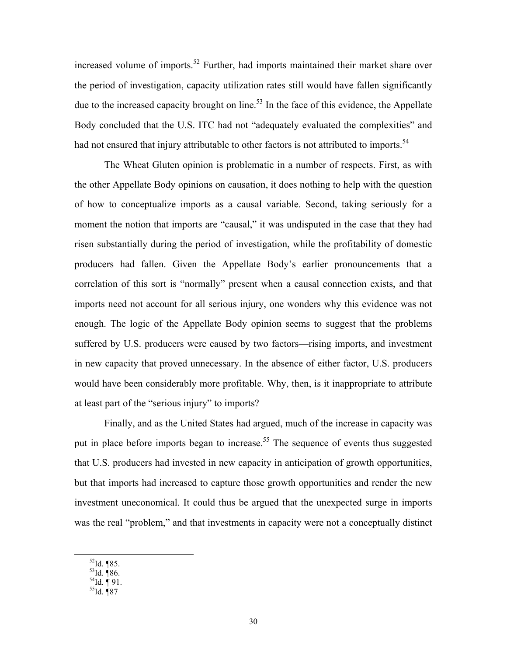increased volume of imports.<sup>[52](#page-31-0)</sup> Further, had imports maintained their market share over the period of investigation, capacity utilization rates still would have fallen significantly due to the increased capacity brought on line.<sup>[53](#page-31-1)</sup> In the face of this evidence, the Appellate Body concluded that the U.S. ITC had not "adequately evaluated the complexities" and had not ensured that injury attributable to other factors is not attributed to imports.<sup>[54](#page-31-2)</sup>

The Wheat Gluten opinion is problematic in a number of respects. First, as with the other Appellate Body opinions on causation, it does nothing to help with the question of how to conceptualize imports as a causal variable. Second, taking seriously for a moment the notion that imports are "causal," it was undisputed in the case that they had risen substantially during the period of investigation, while the profitability of domestic producers had fallen. Given the Appellate Body's earlier pronouncements that a correlation of this sort is "normally" present when a causal connection exists, and that imports need not account for all serious injury, one wonders why this evidence was not enough. The logic of the Appellate Body opinion seems to suggest that the problems suffered by U.S. producers were caused by two factors—rising imports, and investment in new capacity that proved unnecessary. In the absence of either factor, U.S. producers would have been considerably more profitable. Why, then, is it inappropriate to attribute at least part of the "serious injury" to imports?

Finally, and as the United States had argued, much of the increase in capacity was put in place before imports began to increase.<sup>[55](#page-31-3)</sup> The sequence of events thus suggested that U.S. producers had invested in new capacity in anticipation of growth opportunities, but that imports had increased to capture those growth opportunities and render the new investment uneconomical. It could thus be argued that the unexpected surge in imports was the real "problem," and that investments in capacity were not a conceptually distinct

<span id="page-31-3"></span> $^{55}$ Id. ¶87

 $\frac{52}{1d}$ . [85.]

<span id="page-31-1"></span><span id="page-31-0"></span> $53$ Id. ¶86.

<span id="page-31-2"></span> $^{54}$ Id. ¶ 91.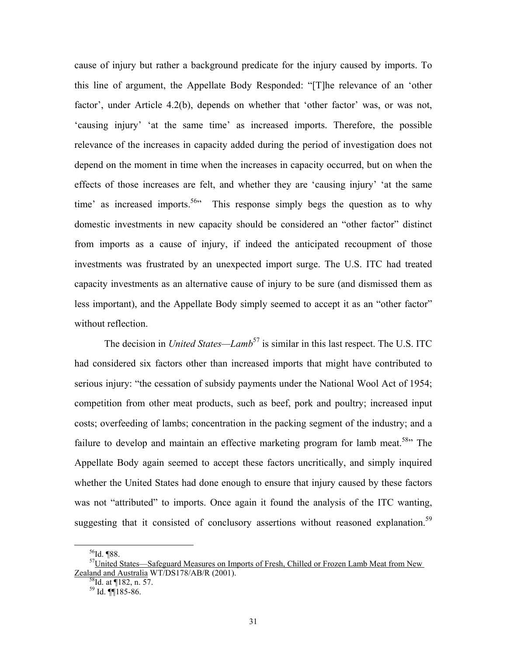cause of injury but rather a background predicate for the injury caused by imports. To this line of argument, the Appellate Body Responded: "[T]he relevance of an 'other factor', under Article 4.2(b), depends on whether that 'other factor' was, or was not, 'causing injury' 'at the same time' as increased imports. Therefore, the possible relevance of the increases in capacity added during the period of investigation does not depend on the moment in time when the increases in capacity occurred, but on when the effects of those increases are felt, and whether they are 'causing injury' 'at the same time' as increased imports.<sup>[56](#page-32-0)</sup> This response simply begs the question as to why domestic investments in new capacity should be considered an "other factor" distinct from imports as a cause of injury, if indeed the anticipated recoupment of those investments was frustrated by an unexpected import surge. The U.S. ITC had treated capacity investments as an alternative cause of injury to be sure (and dismissed them as less important), and the Appellate Body simply seemed to accept it as an "other factor" without reflection.

The decision in *United States—Lamb*<sup>[57](#page-32-1)</sup> is similar in this last respect. The U.S. ITC had considered six factors other than increased imports that might have contributed to serious injury: "the cessation of subsidy payments under the National Wool Act of 1954; competition from other meat products, such as beef, pork and poultry; increased input costs; overfeeding of lambs; concentration in the packing segment of the industry; and a failure to develop and maintain an effective marketing program for lamb meat.<sup>[58](#page-32-2)</sup> $\cdot$  The Appellate Body again seemed to accept these factors uncritically, and simply inquired whether the United States had done enough to ensure that injury caused by these factors was not "attributed" to imports. Once again it found the analysis of the ITC wanting, suggesting that it consisted of conclusory assertions without reasoned explanation.<sup>[59](#page-32-3)</sup>

<span id="page-32-1"></span><span id="page-32-0"></span> $56$ Id. ¶88.

 $57$ United States—Safeguard Measures on Imports of Fresh, Chilled or Frozen Lamb Meat from New <u>Zealand and Australia</u> WT/DS178/AB/R (2001).<br><sup>58</sup>Id. at ¶182, n. 57.<br><sup>59</sup> Id. ¶¶185-86.

<span id="page-32-2"></span>

<span id="page-32-3"></span>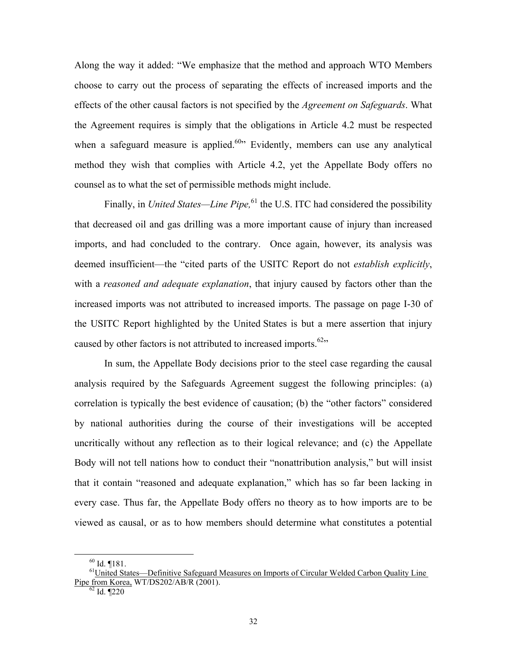Along the way it added: "We emphasize that the method and approach WTO Members choose to carry out the process of separating the effects of increased imports and the effects of the other causal factors is not specified by the *Agreement on Safeguards*. What the Agreement requires is simply that the obligations in Article 4.2 must be respected when a safeguard measure is applied.<sup> $60$ </sup> Evidently, members can use any analytical method they wish that complies with Article 4.2, yet the Appellate Body offers no counsel as to what the set of permissible methods might include.

Finally, in *United States—Line Pipe*,<sup>[61](#page-33-1)</sup> the U.S. ITC had considered the possibility that decreased oil and gas drilling was a more important cause of injury than increased imports, and had concluded to the contrary. Once again, however, its analysis was deemed insufficient—the "cited parts of the USITC Report do not *establish explicitly*, with a *reasoned and adequate explanation*, that injury caused by factors other than the increased imports was not attributed to increased imports. The passage on page I-30 of the USITC Report highlighted by the United States is but a mere assertion that injury caused by other factors is not attributed to increased imports.<sup>[62](#page-33-2)</sup><sup>2</sup>

In sum, the Appellate Body decisions prior to the steel case regarding the causal analysis required by the Safeguards Agreement suggest the following principles: (a) correlation is typically the best evidence of causation; (b) the "other factors" considered by national authorities during the course of their investigations will be accepted uncritically without any reflection as to their logical relevance; and (c) the Appellate Body will not tell nations how to conduct their "nonattribution analysis," but will insist that it contain "reasoned and adequate explanation," which has so far been lacking in every case. Thus far, the Appellate Body offers no theory as to how imports are to be viewed as causal, or as to how members should determine what constitutes a potential

<span id="page-33-1"></span><span id="page-33-0"></span> $60$  Id.  $\P$ 181.

<sup>&</sup>lt;sup>61</sup>United States—Definitive Safeguard Measures on Imports of Circular Welded Carbon Quality Line Pipe from Korea, WT/DS202/AB/R (2001).<br> $62$  Id.  $\sqrt{220}$ 

<span id="page-33-2"></span>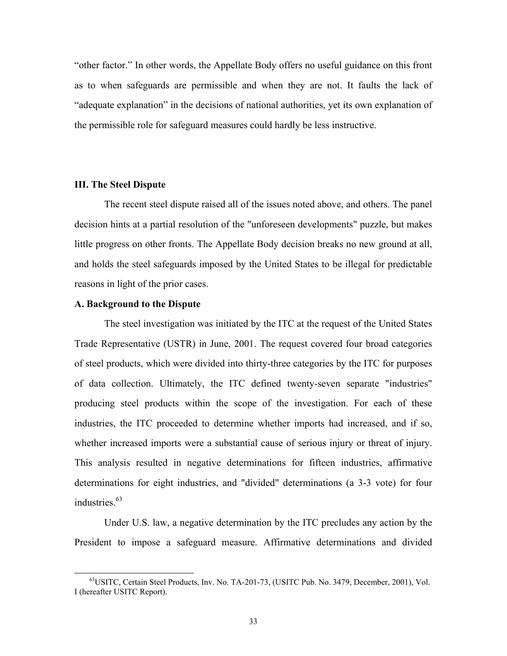"other factor." In other words, the Appellate Body offers no useful guidance on this front as to when safeguards are permissible and when they are not. It faults the lack of "adequate explanation" in the decisions of national authorities, yet its own explanation of the permissible role for safeguard measures could hardly be less instructive.

#### **III. The Steel Dispute**

The recent steel dispute raised all of the issues noted above, and others. The panel decision hints at a partial resolution of the "unforeseen developments" puzzle, but makes little progress on other fronts. The Appellate Body decision breaks no new ground at all, and holds the steel safeguards imposed by the United States to be illegal for predictable reasons in light of the prior cases.

#### **A. Background to the Dispute**

The steel investigation was initiated by the ITC at the request of the United States Trade Representative (USTR) in June, 2001. The request covered four broad categories of steel products, which were divided into thirty-three categories by the ITC for purposes of data collection. Ultimately, the ITC defined twenty-seven separate "industries" producing steel products within the scope of the investigation. For each of these industries, the ITC proceeded to determine whether imports had increased, and if so, whether increased imports were a substantial cause of serious injury or threat of injury. This analysis resulted in negative determinations for fifteen industries, affirmative determinations for eight industries, and "divided" determinations (a 3-3 vote) for four industries.<sup>[63](#page-34-0)</sup>

Under U.S. law, a negative determination by the ITC precludes any action by the President to impose a safeguard measure. Affirmative determinations and divided

<span id="page-34-0"></span> <sup>63</sup>USITC, Certain Steel Products, Inv. No. TA-201-73, (USITC Pub. No. 3479, December, 2001), Vol. I (hereafter USITC Report).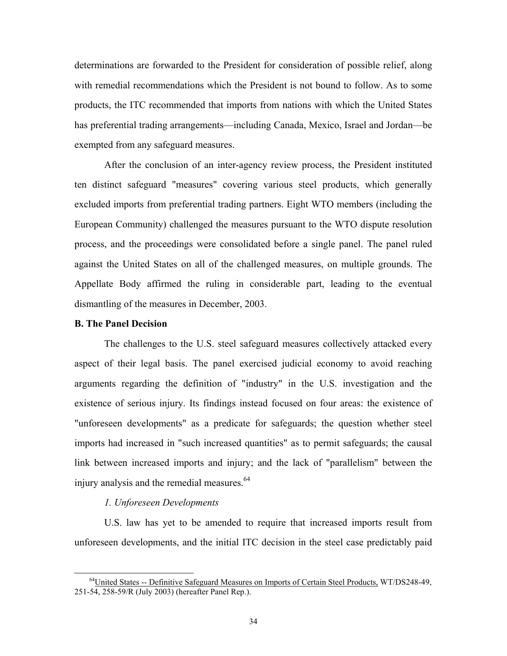determinations are forwarded to the President for consideration of possible relief, along with remedial recommendations which the President is not bound to follow. As to some products, the ITC recommended that imports from nations with which the United States has preferential trading arrangements—including Canada, Mexico, Israel and Jordan—be exempted from any safeguard measures.

After the conclusion of an inter-agency review process, the President instituted ten distinct safeguard "measures" covering various steel products, which generally excluded imports from preferential trading partners. Eight WTO members (including the European Community) challenged the measures pursuant to the WTO dispute resolution process, and the proceedings were consolidated before a single panel. The panel ruled against the United States on all of the challenged measures, on multiple grounds. The Appellate Body affirmed the ruling in considerable part, leading to the eventual dismantling of the measures in December, 2003.

#### **B. The Panel Decision**

The challenges to the U.S. steel safeguard measures collectively attacked every aspect of their legal basis. The panel exercised judicial economy to avoid reaching arguments regarding the definition of "industry" in the U.S. investigation and the existence of serious injury. Its findings instead focused on four areas: the existence of "unforeseen developments" as a predicate for safeguards; the question whether steel imports had increased in "such increased quantities" as to permit safeguards; the causal link between increased imports and injury; and the lack of "parallelism" between the injury analysis and the remedial measures.<sup>[64](#page-35-0)</sup>

#### *1. Unforeseen Developments*

U.S. law has yet to be amended to require that increased imports result from unforeseen developments, and the initial ITC decision in the steel case predictably paid

<span id="page-35-0"></span><sup>&</sup>lt;sup>64</sup>United States -- Definitive Safeguard Measures on Imports of Certain Steel Products, WT/DS248-49, 251-54, 258-59/R (July 2003) (hereafter Panel Rep.).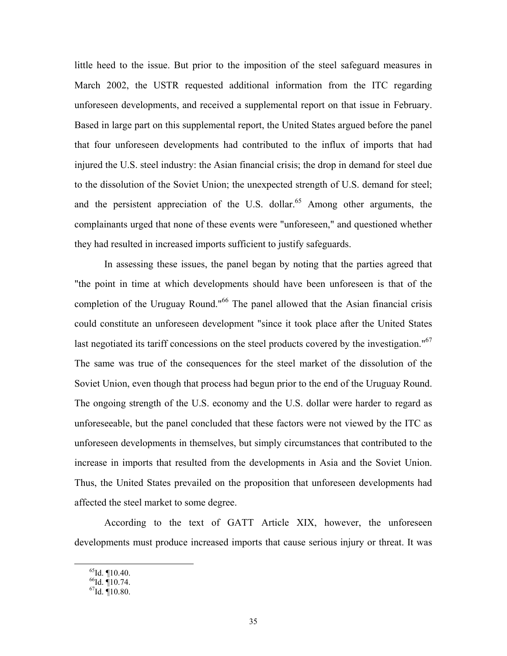little heed to the issue. But prior to the imposition of the steel safeguard measures in March 2002, the USTR requested additional information from the ITC regarding unforeseen developments, and received a supplemental report on that issue in February. Based in large part on this supplemental report, the United States argued before the panel that four unforeseen developments had contributed to the influx of imports that had injured the U.S. steel industry: the Asian financial crisis; the drop in demand for steel due to the dissolution of the Soviet Union; the unexpected strength of U.S. demand for steel; and the persistent appreciation of the U.S. dollar.<sup>[65](#page-36-0)</sup> Among other arguments, the complainants urged that none of these events were "unforeseen," and questioned whether they had resulted in increased imports sufficient to justify safeguards.

In assessing these issues, the panel began by noting that the parties agreed that "the point in time at which developments should have been unforeseen is that of the completion of the Uruguay Round."<sup>[66](#page-36-1)</sup> The panel allowed that the Asian financial crisis could constitute an unforeseen development "since it took place after the United States last negotiated its tariff concessions on the steel products covered by the investigation."<sup>[67](#page-36-2)</sup> The same was true of the consequences for the steel market of the dissolution of the Soviet Union, even though that process had begun prior to the end of the Uruguay Round. The ongoing strength of the U.S. economy and the U.S. dollar were harder to regard as unforeseeable, but the panel concluded that these factors were not viewed by the ITC as unforeseen developments in themselves, but simply circumstances that contributed to the increase in imports that resulted from the developments in Asia and the Soviet Union. Thus, the United States prevailed on the proposition that unforeseen developments had affected the steel market to some degree.

According to the text of GATT Article XIX, however, the unforeseen developments must produce increased imports that cause serious injury or threat. It was

 $65$ Id. ¶10.40.

<span id="page-36-1"></span><span id="page-36-0"></span> $^{66}$ Id.  $\P$ 10.74.

<span id="page-36-2"></span> $^{67}$ Id.  $\P$ 10.80.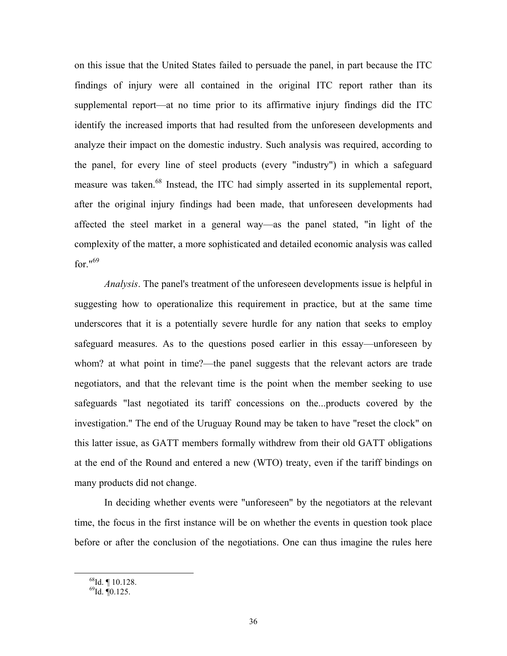on this issue that the United States failed to persuade the panel, in part because the ITC findings of injury were all contained in the original ITC report rather than its supplemental report—at no time prior to its affirmative injury findings did the ITC identify the increased imports that had resulted from the unforeseen developments and analyze their impact on the domestic industry. Such analysis was required, according to the panel, for every line of steel products (every "industry") in which a safeguard measure was taken.<sup>[68](#page-37-0)</sup> Instead, the ITC had simply asserted in its supplemental report, after the original injury findings had been made, that unforeseen developments had affected the steel market in a general way—as the panel stated, "in light of the complexity of the matter, a more sophisticated and detailed economic analysis was called for." $69$ 

*Analysis*. The panel's treatment of the unforeseen developments issue is helpful in suggesting how to operationalize this requirement in practice, but at the same time underscores that it is a potentially severe hurdle for any nation that seeks to employ safeguard measures. As to the questions posed earlier in this essay—unforeseen by whom? at what point in time?—the panel suggests that the relevant actors are trade negotiators, and that the relevant time is the point when the member seeking to use safeguards "last negotiated its tariff concessions on the...products covered by the investigation." The end of the Uruguay Round may be taken to have "reset the clock" on this latter issue, as GATT members formally withdrew from their old GATT obligations at the end of the Round and entered a new (WTO) treaty, even if the tariff bindings on many products did not change.

In deciding whether events were "unforeseen" by the negotiators at the relevant time, the focus in the first instance will be on whether the events in question took place before or after the conclusion of the negotiations. One can thus imagine the rules here

 $68$ Id. ¶ 10.128.

<span id="page-37-1"></span><span id="page-37-0"></span> $^{69}$ Id.  $\overline{1}0.125$ .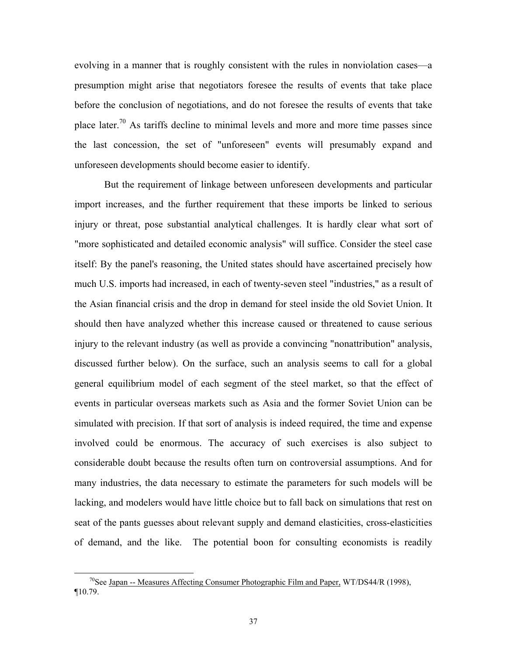evolving in a manner that is roughly consistent with the rules in nonviolation cases—a presumption might arise that negotiators foresee the results of events that take place before the conclusion of negotiations, and do not foresee the results of events that take place later.<sup>[70](#page-38-0)</sup> As tariffs decline to minimal levels and more and more time passes since the last concession, the set of "unforeseen" events will presumably expand and unforeseen developments should become easier to identify.

But the requirement of linkage between unforeseen developments and particular import increases, and the further requirement that these imports be linked to serious injury or threat, pose substantial analytical challenges. It is hardly clear what sort of "more sophisticated and detailed economic analysis" will suffice. Consider the steel case itself: By the panel's reasoning, the United states should have ascertained precisely how much U.S. imports had increased, in each of twenty-seven steel "industries," as a result of the Asian financial crisis and the drop in demand for steel inside the old Soviet Union. It should then have analyzed whether this increase caused or threatened to cause serious injury to the relevant industry (as well as provide a convincing "nonattribution" analysis, discussed further below). On the surface, such an analysis seems to call for a global general equilibrium model of each segment of the steel market, so that the effect of events in particular overseas markets such as Asia and the former Soviet Union can be simulated with precision. If that sort of analysis is indeed required, the time and expense involved could be enormous. The accuracy of such exercises is also subject to considerable doubt because the results often turn on controversial assumptions. And for many industries, the data necessary to estimate the parameters for such models will be lacking, and modelers would have little choice but to fall back on simulations that rest on seat of the pants guesses about relevant supply and demand elasticities, cross-elasticities of demand, and the like. The potential boon for consulting economists is readily

<span id="page-38-0"></span><sup>&</sup>lt;sup>70</sup>See Japan -- Measures Affecting Consumer Photographic Film and Paper, WT/DS44/R (1998), ¶10.79.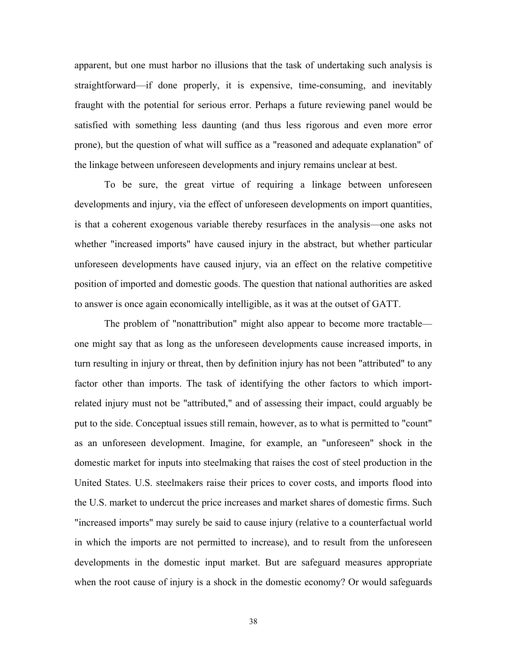apparent, but one must harbor no illusions that the task of undertaking such analysis is straightforward—if done properly, it is expensive, time-consuming, and inevitably fraught with the potential for serious error. Perhaps a future reviewing panel would be satisfied with something less daunting (and thus less rigorous and even more error prone), but the question of what will suffice as a "reasoned and adequate explanation" of the linkage between unforeseen developments and injury remains unclear at best.

To be sure, the great virtue of requiring a linkage between unforeseen developments and injury, via the effect of unforeseen developments on import quantities, is that a coherent exogenous variable thereby resurfaces in the analysis—one asks not whether "increased imports" have caused injury in the abstract, but whether particular unforeseen developments have caused injury, via an effect on the relative competitive position of imported and domestic goods. The question that national authorities are asked to answer is once again economically intelligible, as it was at the outset of GATT.

The problem of "nonattribution" might also appear to become more tractable one might say that as long as the unforeseen developments cause increased imports, in turn resulting in injury or threat, then by definition injury has not been "attributed" to any factor other than imports. The task of identifying the other factors to which importrelated injury must not be "attributed," and of assessing their impact, could arguably be put to the side. Conceptual issues still remain, however, as to what is permitted to "count" as an unforeseen development. Imagine, for example, an "unforeseen" shock in the domestic market for inputs into steelmaking that raises the cost of steel production in the United States. U.S. steelmakers raise their prices to cover costs, and imports flood into the U.S. market to undercut the price increases and market shares of domestic firms. Such "increased imports" may surely be said to cause injury (relative to a counterfactual world in which the imports are not permitted to increase), and to result from the unforeseen developments in the domestic input market. But are safeguard measures appropriate when the root cause of injury is a shock in the domestic economy? Or would safeguards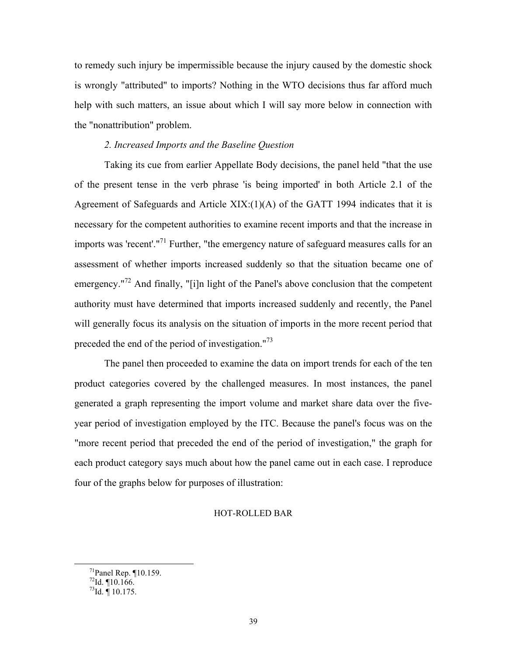to remedy such injury be impermissible because the injury caused by the domestic shock is wrongly "attributed" to imports? Nothing in the WTO decisions thus far afford much help with such matters, an issue about which I will say more below in connection with the "nonattribution" problem.

#### *2. Increased Imports and the Baseline Question*

Taking its cue from earlier Appellate Body decisions, the panel held "that the use of the present tense in the verb phrase 'is being imported' in both Article 2.1 of the Agreement of Safeguards and Article  $XIX:(1)(A)$  of the GATT 1994 indicates that it is necessary for the competent authorities to examine recent imports and that the increase in imports was 'recent'."<sup>[71](#page-40-0)</sup> Further, "the emergency nature of safeguard measures calls for an assessment of whether imports increased suddenly so that the situation became one of emergency."<sup>[72](#page-40-1)</sup> And finally, "[i]n light of the Panel's above conclusion that the competent authority must have determined that imports increased suddenly and recently, the Panel will generally focus its analysis on the situation of imports in the more recent period that preceded the end of the period of investigation."<sup>[73](#page-40-2)</sup>

The panel then proceeded to examine the data on import trends for each of the ten product categories covered by the challenged measures. In most instances, the panel generated a graph representing the import volume and market share data over the fiveyear period of investigation employed by the ITC. Because the panel's focus was on the "more recent period that preceded the end of the period of investigation," the graph for each product category says much about how the panel came out in each case. I reproduce four of the graphs below for purposes of illustration:

#### HOT-ROLLED BAR

<span id="page-40-2"></span><span id="page-40-1"></span><span id="page-40-0"></span> $^{71}$ Panel Rep. ¶10.159.<br> $^{72}$ Id. ¶10.166.  $^{73}$ Id. ¶ 10.175.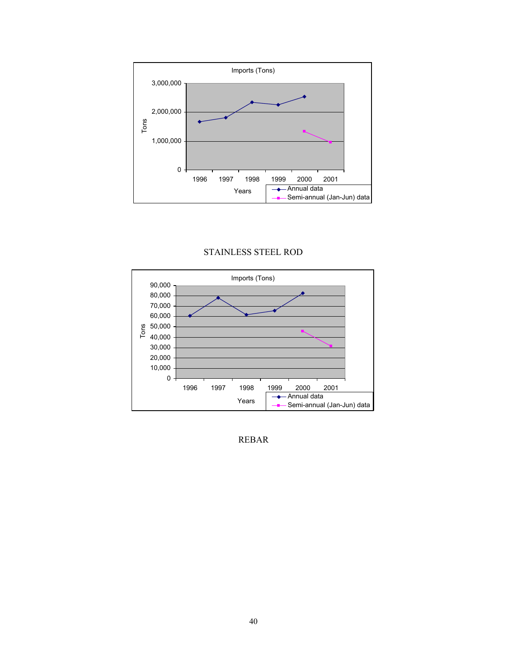





REBAR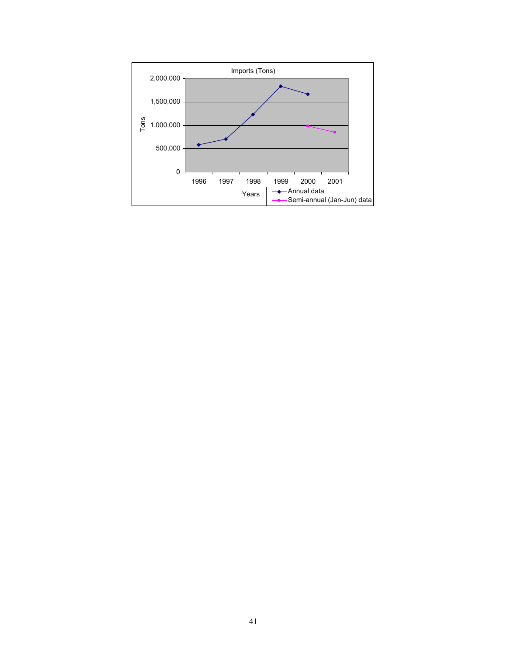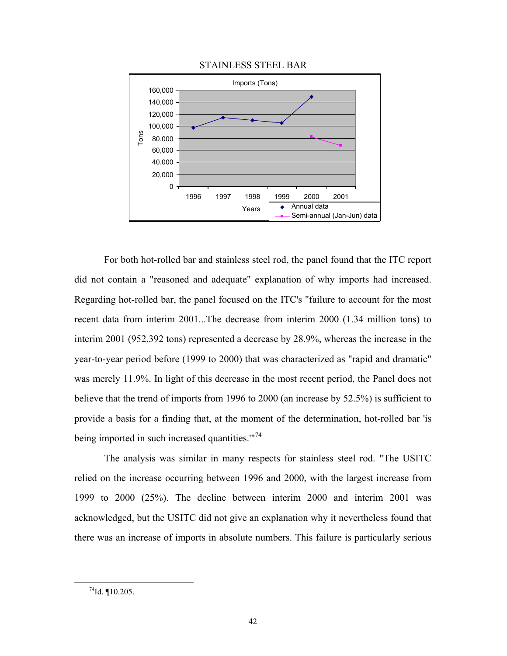

#### STAINLESS STEEL BAR

For both hot-rolled bar and stainless steel rod, the panel found that the ITC report did not contain a "reasoned and adequate" explanation of why imports had increased. Regarding hot-rolled bar, the panel focused on the ITC's "failure to account for the most recent data from interim 2001...The decrease from interim 2000 (1.34 million tons) to interim 2001 (952,392 tons) represented a decrease by 28.9%, whereas the increase in the year-to-year period before (1999 to 2000) that was characterized as "rapid and dramatic" was merely 11.9%. In light of this decrease in the most recent period, the Panel does not believe that the trend of imports from 1996 to 2000 (an increase by 52.5%) is sufficient to provide a basis for a finding that, at the moment of the determination, hot-rolled bar 'is being imported in such increased quantities."<sup>[74](#page-43-0)</sup>

The analysis was similar in many respects for stainless steel rod. "The USITC relied on the increase occurring between 1996 and 2000, with the largest increase from 1999 to 2000 (25%). The decline between interim 2000 and interim 2001 was acknowledged, but the USITC did not give an explanation why it nevertheless found that there was an increase of imports in absolute numbers. This failure is particularly serious

<span id="page-43-0"></span> $^{74}$ Id. ¶10.205.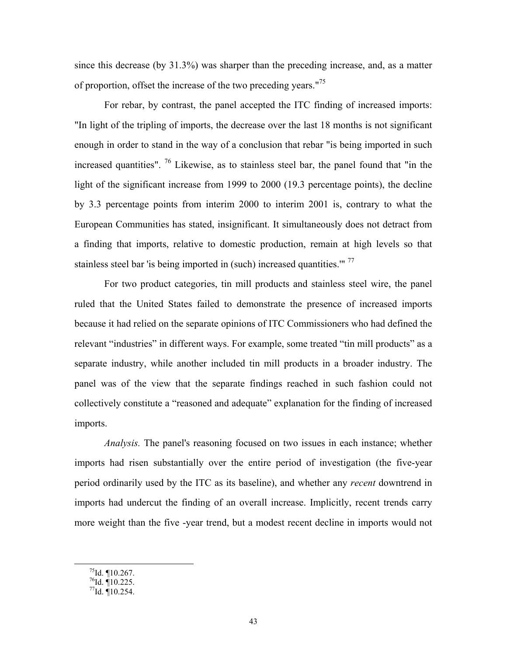since this decrease (by 31.3%) was sharper than the preceding increase, and, as a matter of proportion, offset the increase of the two preceding years."<sup>[75](#page-44-0)</sup>

For rebar, by contrast, the panel accepted the ITC finding of increased imports: "In light of the tripling of imports, the decrease over the last 18 months is not significant enough in order to stand in the way of a conclusion that rebar "is being imported in such increased quantities". <sup>[76](#page-44-1)</sup> Likewise, as to stainless steel bar, the panel found that "in the light of the significant increase from 1999 to 2000 (19.3 percentage points), the decline by 3.3 percentage points from interim 2000 to interim 2001 is, contrary to what the European Communities has stated, insignificant. It simultaneously does not detract from a finding that imports, relative to domestic production, remain at high levels so that stainless steel bar 'is being imported in (such) increased quantities."<sup>[77](#page-44-2)</sup>

For two product categories, tin mill products and stainless steel wire, the panel ruled that the United States failed to demonstrate the presence of increased imports because it had relied on the separate opinions of ITC Commissioners who had defined the relevant "industries" in different ways. For example, some treated "tin mill products" as a separate industry, while another included tin mill products in a broader industry. The panel was of the view that the separate findings reached in such fashion could not collectively constitute a "reasoned and adequate" explanation for the finding of increased imports.

*Analysis.* The panel's reasoning focused on two issues in each instance; whether imports had risen substantially over the entire period of investigation (the five-year period ordinarily used by the ITC as its baseline), and whether any *recent* downtrend in imports had undercut the finding of an overall increase. Implicitly, recent trends carry more weight than the five -year trend, but a modest recent decline in imports would not

 $^{75}$ Id. ¶10.267.

<span id="page-44-1"></span><span id="page-44-0"></span> $^{76}$ Id.  $\overline{1}$ 10.225.

<span id="page-44-2"></span> $^{77}$ Id.  $\P$ 10.254.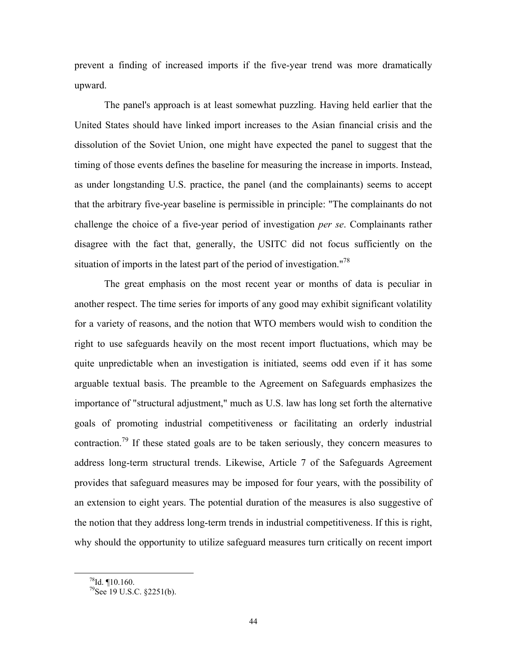prevent a finding of increased imports if the five-year trend was more dramatically upward.

The panel's approach is at least somewhat puzzling. Having held earlier that the United States should have linked import increases to the Asian financial crisis and the dissolution of the Soviet Union, one might have expected the panel to suggest that the timing of those events defines the baseline for measuring the increase in imports. Instead, as under longstanding U.S. practice, the panel (and the complainants) seems to accept that the arbitrary five-year baseline is permissible in principle: "The complainants do not challenge the choice of a five-year period of investigation *per se*. Complainants rather disagree with the fact that, generally, the USITC did not focus sufficiently on the situation of imports in the latest part of the period of investigation."<sup>[78](#page-45-0)</sup>

The great emphasis on the most recent year or months of data is peculiar in another respect. The time series for imports of any good may exhibit significant volatility for a variety of reasons, and the notion that WTO members would wish to condition the right to use safeguards heavily on the most recent import fluctuations, which may be quite unpredictable when an investigation is initiated, seems odd even if it has some arguable textual basis. The preamble to the Agreement on Safeguards emphasizes the importance of "structural adjustment," much as U.S. law has long set forth the alternative goals of promoting industrial competitiveness or facilitating an orderly industrial contraction.<sup>[79](#page-45-1)</sup> If these stated goals are to be taken seriously, they concern measures to address long-term structural trends. Likewise, Article 7 of the Safeguards Agreement provides that safeguard measures may be imposed for four years, with the possibility of an extension to eight years. The potential duration of the measures is also suggestive of the notion that they address long-term trends in industrial competitiveness. If this is right, why should the opportunity to utilize safeguard measures turn critically on recent import

<span id="page-45-0"></span> $^{78}$ Id. ¶10.160.

<span id="page-45-1"></span> $79$ See 19 U.S.C. §2251(b).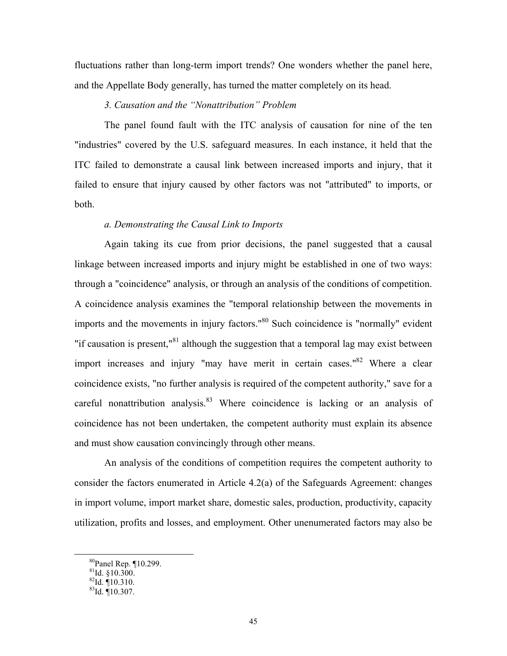fluctuations rather than long-term import trends? One wonders whether the panel here, and the Appellate Body generally, has turned the matter completely on its head.

#### *3. Causation and the "Nonattribution" Problem*

The panel found fault with the ITC analysis of causation for nine of the ten "industries" covered by the U.S. safeguard measures. In each instance, it held that the ITC failed to demonstrate a causal link between increased imports and injury, that it failed to ensure that injury caused by other factors was not "attributed" to imports, or both.

#### *a. Demonstrating the Causal Link to Imports*

Again taking its cue from prior decisions, the panel suggested that a causal linkage between increased imports and injury might be established in one of two ways: through a "coincidence" analysis, or through an analysis of the conditions of competition. A coincidence analysis examines the "temporal relationship between the movements in imports and the movements in injury factors."[80](#page-46-0) Such coincidence is "normally" evident "if causation is present,"[81](#page-46-1) although the suggestion that a temporal lag may exist between import increases and injury "may have merit in certain cases."<sup>[82](#page-46-2)</sup> Where a clear coincidence exists, "no further analysis is required of the competent authority," save for a careful nonattribution analysis.<sup>[83](#page-46-3)</sup> Where coincidence is lacking or an analysis of coincidence has not been undertaken, the competent authority must explain its absence and must show causation convincingly through other means.

An analysis of the conditions of competition requires the competent authority to consider the factors enumerated in Article 4.2(a) of the Safeguards Agreement: changes in import volume, import market share, domestic sales, production, productivity, capacity utilization, profits and losses, and employment. Other unenumerated factors may also be

 $^{80}$ Panel Rep. ¶10.299.<br> $^{81}$ Id. §10.300.

<span id="page-46-1"></span><span id="page-46-0"></span>

<span id="page-46-2"></span> ${}^{82}$ Id.  $\P$ 10.310.

<span id="page-46-3"></span> $^{83}$ Id.  $\P$ 10.307.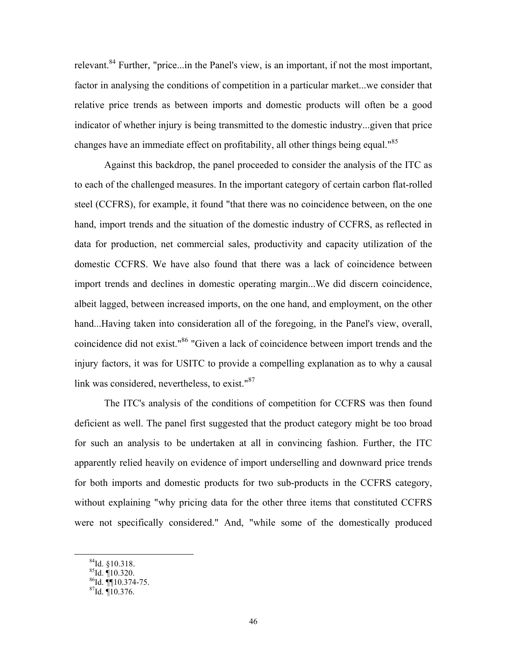relevant.<sup>[84](#page-47-0)</sup> Further, "price...in the Panel's view, is an important, if not the most important, factor in analysing the conditions of competition in a particular market...we consider that relative price trends as between imports and domestic products will often be a good indicator of whether injury is being transmitted to the domestic industry...given that price changes have an immediate effect on profitability, all other things being equal."<sup>[85](#page-47-1)</sup>

Against this backdrop, the panel proceeded to consider the analysis of the ITC as to each of the challenged measures. In the important category of certain carbon flat-rolled steel (CCFRS), for example, it found "that there was no coincidence between, on the one hand, import trends and the situation of the domestic industry of CCFRS, as reflected in data for production, net commercial sales, productivity and capacity utilization of the domestic CCFRS. We have also found that there was a lack of coincidence between import trends and declines in domestic operating margin...We did discern coincidence, albeit lagged, between increased imports, on the one hand, and employment, on the other hand...Having taken into consideration all of the foregoing, in the Panel's view, overall, coincidence did not exist."[86](#page-47-2) "Given a lack of coincidence between import trends and the injury factors, it was for USITC to provide a compelling explanation as to why a causal link was considered, nevertheless, to exist."[87](#page-47-3)

The ITC's analysis of the conditions of competition for CCFRS was then found deficient as well. The panel first suggested that the product category might be too broad for such an analysis to be undertaken at all in convincing fashion. Further, the ITC apparently relied heavily on evidence of import underselling and downward price trends for both imports and domestic products for two sub-products in the CCFRS category, without explaining "why pricing data for the other three items that constituted CCFRS were not specifically considered." And, "while some of the domestically produced

 $^{84}$ Id. §10.318.

<span id="page-47-1"></span><span id="page-47-0"></span> $^{85}$ Id.  $\overline{1}$ 10.320.

<span id="page-47-2"></span> $^{86}$ Id.  $\P$ 10.374-75.

<span id="page-47-3"></span> ${}^{87}$ Id.  $\P$ 10.376.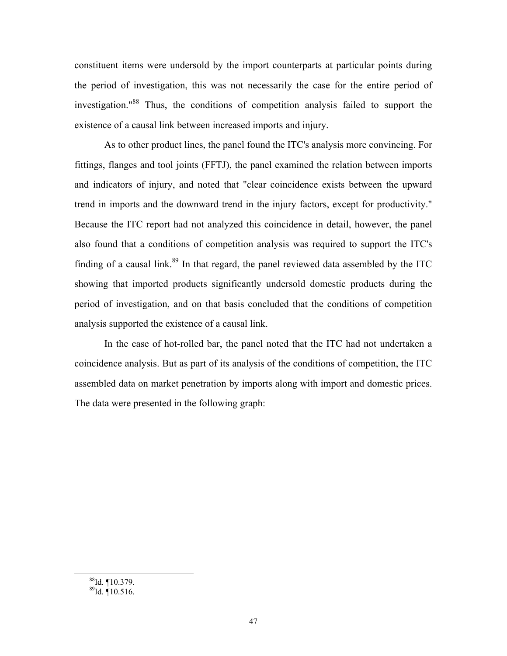constituent items were undersold by the import counterparts at particular points during the period of investigation, this was not necessarily the case for the entire period of investigation."[88](#page-48-0) Thus, the conditions of competition analysis failed to support the existence of a causal link between increased imports and injury.

As to other product lines, the panel found the ITC's analysis more convincing. For fittings, flanges and tool joints (FFTJ), the panel examined the relation between imports and indicators of injury, and noted that "clear coincidence exists between the upward trend in imports and the downward trend in the injury factors, except for productivity." Because the ITC report had not analyzed this coincidence in detail, however, the panel also found that a conditions of competition analysis was required to support the ITC's finding of a causal link.<sup>[89](#page-48-1)</sup> In that regard, the panel reviewed data assembled by the ITC showing that imported products significantly undersold domestic products during the period of investigation, and on that basis concluded that the conditions of competition analysis supported the existence of a causal link.

In the case of hot-rolled bar, the panel noted that the ITC had not undertaken a coincidence analysis. But as part of its analysis of the conditions of competition, the ITC assembled data on market penetration by imports along with import and domestic prices. The data were presented in the following graph:

 $88$ Id. [10.379.]

<span id="page-48-1"></span><span id="page-48-0"></span> $^{89}$ Id.  $\overline{1}$ 10.516.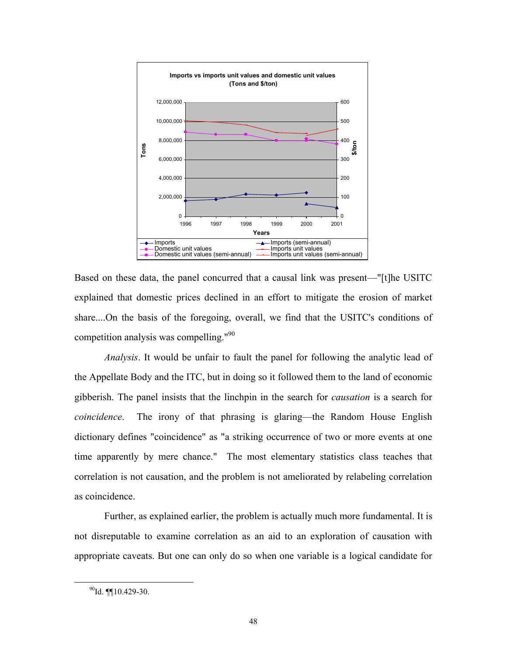

Based on these data, the panel concurred that a causal link was present—"[t]he USITC explained that domestic prices declined in an effort to mitigate the erosion of market share....On the basis of the foregoing, overall, we find that the USITC's conditions of competition analysis was compelling."<sup>[90](#page-49-0)</sup>

*Analysis*. It would be unfair to fault the panel for following the analytic lead of the Appellate Body and the ITC, but in doing so it followed them to the land of economic gibberish. The panel insists that the linchpin in the search for *causation* is a search for *coincidence*. The irony of that phrasing is glaring—the Random House English dictionary defines "coincidence" as "a striking occurrence of two or more events at one time apparently by mere chance." The most elementary statistics class teaches that correlation is not causation, and the problem is not ameliorated by relabeling correlation as coincidence.

Further, as explained earlier, the problem is actually much more fundamental. It is not disreputable to examine correlation as an aid to an exploration of causation with appropriate caveats. But one can only do so when one variable is a logical candidate for

<span id="page-49-0"></span> $^{90}$ Id. ¶¶10.429-30.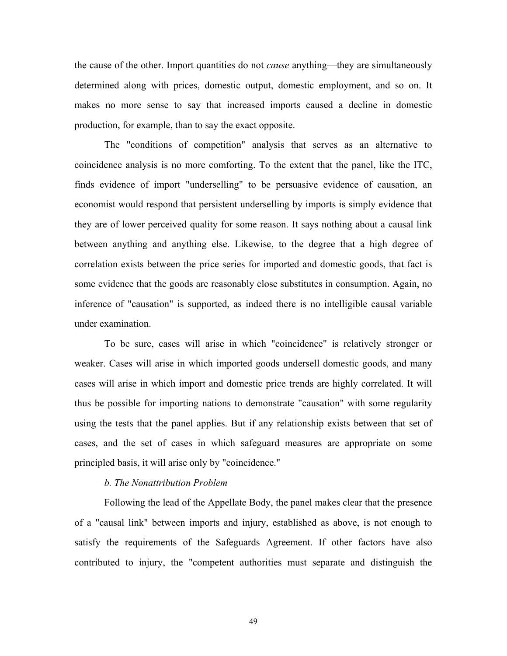the cause of the other. Import quantities do not *cause* anything—they are simultaneously determined along with prices, domestic output, domestic employment, and so on. It makes no more sense to say that increased imports caused a decline in domestic production, for example, than to say the exact opposite.

The "conditions of competition" analysis that serves as an alternative to coincidence analysis is no more comforting. To the extent that the panel, like the ITC, finds evidence of import "underselling" to be persuasive evidence of causation, an economist would respond that persistent underselling by imports is simply evidence that they are of lower perceived quality for some reason. It says nothing about a causal link between anything and anything else. Likewise, to the degree that a high degree of correlation exists between the price series for imported and domestic goods, that fact is some evidence that the goods are reasonably close substitutes in consumption. Again, no inference of "causation" is supported, as indeed there is no intelligible causal variable under examination.

To be sure, cases will arise in which "coincidence" is relatively stronger or weaker. Cases will arise in which imported goods undersell domestic goods, and many cases will arise in which import and domestic price trends are highly correlated. It will thus be possible for importing nations to demonstrate "causation" with some regularity using the tests that the panel applies. But if any relationship exists between that set of cases, and the set of cases in which safeguard measures are appropriate on some principled basis, it will arise only by "coincidence."

#### *b. The Nonattribution Problem*

Following the lead of the Appellate Body, the panel makes clear that the presence of a "causal link" between imports and injury, established as above, is not enough to satisfy the requirements of the Safeguards Agreement. If other factors have also contributed to injury, the "competent authorities must separate and distinguish the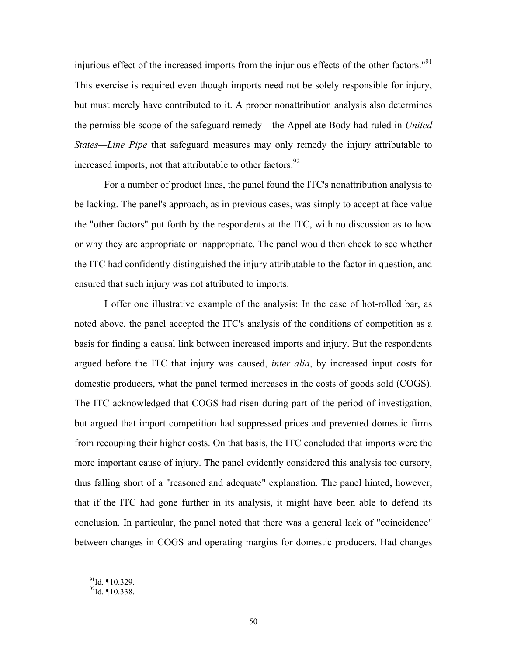injurious effect of the increased imports from the injurious effects of the other factors."<sup>[91](#page-51-0)</sup> This exercise is required even though imports need not be solely responsible for injury, but must merely have contributed to it. A proper nonattribution analysis also determines the permissible scope of the safeguard remedy—the Appellate Body had ruled in *United States—Line Pipe* that safeguard measures may only remedy the injury attributable to increased imports, not that attributable to other factors.  $92$ 

For a number of product lines, the panel found the ITC's nonattribution analysis to be lacking. The panel's approach, as in previous cases, was simply to accept at face value the "other factors" put forth by the respondents at the ITC, with no discussion as to how or why they are appropriate or inappropriate. The panel would then check to see whether the ITC had confidently distinguished the injury attributable to the factor in question, and ensured that such injury was not attributed to imports.

I offer one illustrative example of the analysis: In the case of hot-rolled bar, as noted above, the panel accepted the ITC's analysis of the conditions of competition as a basis for finding a causal link between increased imports and injury. But the respondents argued before the ITC that injury was caused, *inter alia*, by increased input costs for domestic producers, what the panel termed increases in the costs of goods sold (COGS). The ITC acknowledged that COGS had risen during part of the period of investigation, but argued that import competition had suppressed prices and prevented domestic firms from recouping their higher costs. On that basis, the ITC concluded that imports were the more important cause of injury. The panel evidently considered this analysis too cursory, thus falling short of a "reasoned and adequate" explanation. The panel hinted, however, that if the ITC had gone further in its analysis, it might have been able to defend its conclusion. In particular, the panel noted that there was a general lack of "coincidence" between changes in COGS and operating margins for domestic producers. Had changes

 $^{91}$ Id. ¶10.329.

<span id="page-51-1"></span><span id="page-51-0"></span> $^{92}$ Id.  $\overline{1}$ 10.338.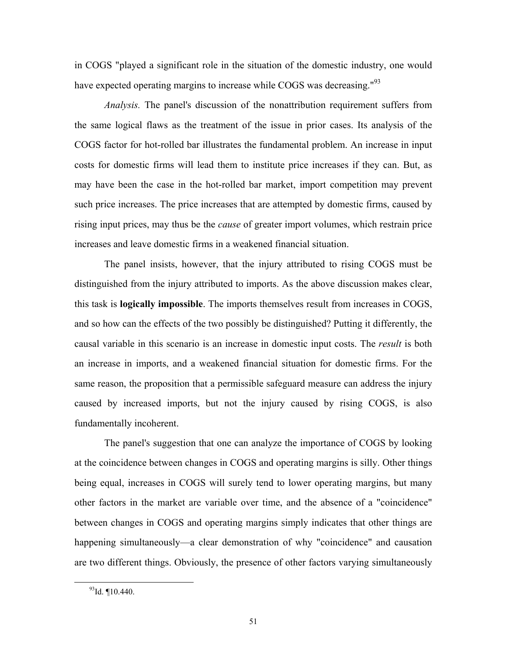in COGS "played a significant role in the situation of the domestic industry, one would have expected operating margins to increase while COGS was decreasing."<sup>[93](#page-52-0)</sup>

*Analysis.* The panel's discussion of the nonattribution requirement suffers from the same logical flaws as the treatment of the issue in prior cases. Its analysis of the COGS factor for hot-rolled bar illustrates the fundamental problem. An increase in input costs for domestic firms will lead them to institute price increases if they can. But, as may have been the case in the hot-rolled bar market, import competition may prevent such price increases. The price increases that are attempted by domestic firms, caused by rising input prices, may thus be the *cause* of greater import volumes, which restrain price increases and leave domestic firms in a weakened financial situation.

The panel insists, however, that the injury attributed to rising COGS must be distinguished from the injury attributed to imports. As the above discussion makes clear, this task is **logically impossible**. The imports themselves result from increases in COGS, and so how can the effects of the two possibly be distinguished? Putting it differently, the causal variable in this scenario is an increase in domestic input costs. The *result* is both an increase in imports, and a weakened financial situation for domestic firms. For the same reason, the proposition that a permissible safeguard measure can address the injury caused by increased imports, but not the injury caused by rising COGS, is also fundamentally incoherent.

The panel's suggestion that one can analyze the importance of COGS by looking at the coincidence between changes in COGS and operating margins is silly. Other things being equal, increases in COGS will surely tend to lower operating margins, but many other factors in the market are variable over time, and the absence of a "coincidence" between changes in COGS and operating margins simply indicates that other things are happening simultaneously—a clear demonstration of why "coincidence" and causation are two different things. Obviously, the presence of other factors varying simultaneously

<span id="page-52-0"></span> $93$ Id. ¶10.440.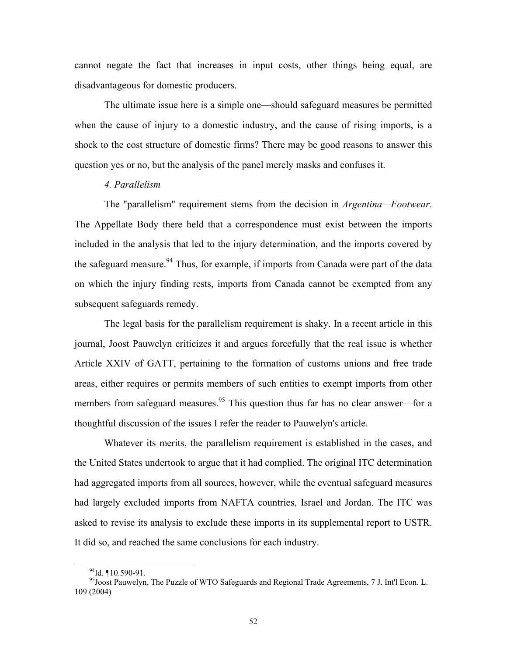cannot negate the fact that increases in input costs, other things being equal, are disadvantageous for domestic producers.

The ultimate issue here is a simple one—should safeguard measures be permitted when the cause of injury to a domestic industry, and the cause of rising imports, is a shock to the cost structure of domestic firms? There may be good reasons to answer this question yes or no, but the analysis of the panel merely masks and confuses it.

#### *4. Parallelism*

The "parallelism" requirement stems from the decision in *Argentina—Footwear*. The Appellate Body there held that a correspondence must exist between the imports included in the analysis that led to the injury determination, and the imports covered by the safeguard measure.<sup>[94](#page-53-0)</sup> Thus, for example, if imports from Canada were part of the data on which the injury finding rests, imports from Canada cannot be exempted from any subsequent safeguards remedy.

The legal basis for the parallelism requirement is shaky. In a recent article in this journal, Joost Pauwelyn criticizes it and argues forcefully that the real issue is whether Article XXIV of GATT, pertaining to the formation of customs unions and free trade areas, either requires or permits members of such entities to exempt imports from other members from safeguard measures.<sup>[95](#page-53-1)</sup> This question thus far has no clear answer—for a thoughtful discussion of the issues I refer the reader to Pauwelyn's article.

Whatever its merits, the parallelism requirement is established in the cases, and the United States undertook to argue that it had complied. The original ITC determination had aggregated imports from all sources, however, while the eventual safeguard measures had largely excluded imports from NAFTA countries, Israel and Jordan. The ITC was asked to revise its analysis to exclude these imports in its supplemental report to USTR. It did so, and reached the same conclusions for each industry.

<span id="page-53-1"></span><span id="page-53-0"></span> $94$ Id. ¶10.590-91.

<sup>&</sup>lt;sup>95</sup>Joost Pauwelyn, The Puzzle of WTO Safeguards and Regional Trade Agreements, 7 J. Int'l Econ. L. 109 (2004)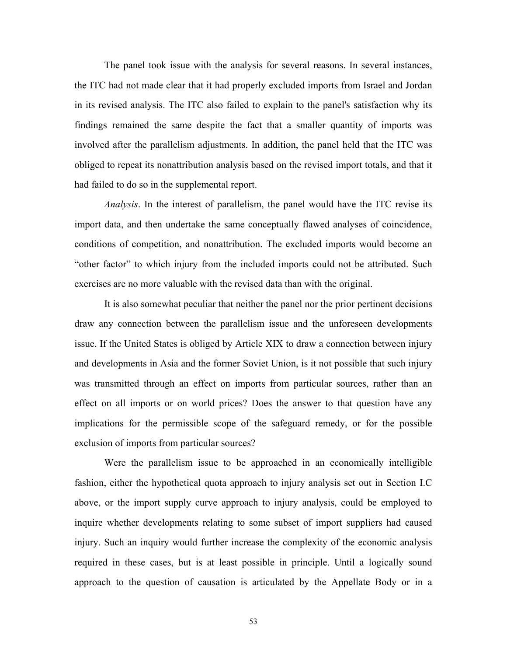The panel took issue with the analysis for several reasons. In several instances, the ITC had not made clear that it had properly excluded imports from Israel and Jordan in its revised analysis. The ITC also failed to explain to the panel's satisfaction why its findings remained the same despite the fact that a smaller quantity of imports was involved after the parallelism adjustments. In addition, the panel held that the ITC was obliged to repeat its nonattribution analysis based on the revised import totals, and that it had failed to do so in the supplemental report.

*Analysis*. In the interest of parallelism, the panel would have the ITC revise its import data, and then undertake the same conceptually flawed analyses of coincidence, conditions of competition, and nonattribution. The excluded imports would become an "other factor" to which injury from the included imports could not be attributed. Such exercises are no more valuable with the revised data than with the original.

It is also somewhat peculiar that neither the panel nor the prior pertinent decisions draw any connection between the parallelism issue and the unforeseen developments issue. If the United States is obliged by Article XIX to draw a connection between injury and developments in Asia and the former Soviet Union, is it not possible that such injury was transmitted through an effect on imports from particular sources, rather than an effect on all imports or on world prices? Does the answer to that question have any implications for the permissible scope of the safeguard remedy, or for the possible exclusion of imports from particular sources?

Were the parallelism issue to be approached in an economically intelligible fashion, either the hypothetical quota approach to injury analysis set out in Section I.C above, or the import supply curve approach to injury analysis, could be employed to inquire whether developments relating to some subset of import suppliers had caused injury. Such an inquiry would further increase the complexity of the economic analysis required in these cases, but is at least possible in principle. Until a logically sound approach to the question of causation is articulated by the Appellate Body or in a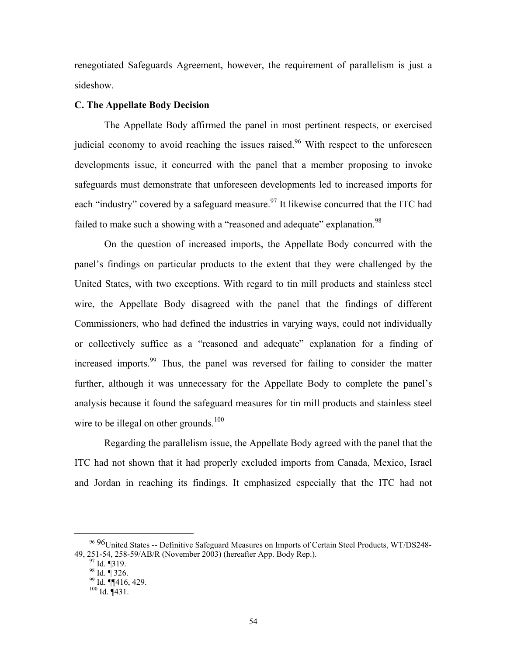renegotiated Safeguards Agreement, however, the requirement of parallelism is just a sideshow.

#### **C. The Appellate Body Decision**

The Appellate Body affirmed the panel in most pertinent respects, or exercised judicial economy to avoid reaching the issues raised.<sup>[96](#page-55-0)</sup> With respect to the unforeseen developments issue, it concurred with the panel that a member proposing to invoke safeguards must demonstrate that unforeseen developments led to increased imports for each "industry" covered by a safeguard measure.<sup>[97](#page-55-1)</sup> It likewise concurred that the ITC had failed to make such a showing with a "reasoned and adequate" explanation.<sup>[98](#page-55-2)</sup>

On the question of increased imports, the Appellate Body concurred with the panel's findings on particular products to the extent that they were challenged by the United States, with two exceptions. With regard to tin mill products and stainless steel wire, the Appellate Body disagreed with the panel that the findings of different Commissioners, who had defined the industries in varying ways, could not individually or collectively suffice as a "reasoned and adequate" explanation for a finding of increased imports.<sup>[99](#page-55-3)</sup> Thus, the panel was reversed for failing to consider the matter further, although it was unnecessary for the Appellate Body to complete the panel's analysis because it found the safeguard measures for tin mill products and stainless steel wire to be illegal on other grounds.<sup>[100](#page-55-4)</sup>

Regarding the parallelism issue, the Appellate Body agreed with the panel that the ITC had not shown that it had properly excluded imports from Canada, Mexico, Israel and Jordan in reaching its findings. It emphasized especially that the ITC had not

<span id="page-55-0"></span> $9696$ United States -- Definitive Safeguard Measures on Imports of Certain Steel Products, WT/DS248-49, 251-54, 258-59/AB/R (November 2003) (hereafter App. Body Rep.). <sup>97</sup> Id. ¶319.

<span id="page-55-1"></span>

<span id="page-55-2"></span> $98$  Id.  $\overline{9}$  326.

<span id="page-55-3"></span> $99$  Id.  $\P\P 416, 429$ .

<span id="page-55-4"></span> $^{100}$  Id.  $\P$ 431.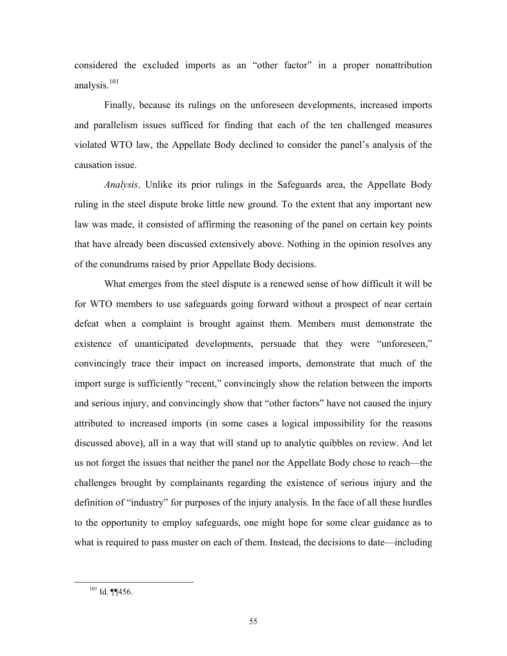considered the excluded imports as an "other factor" in a proper nonattribution analysis. $101$ 

Finally, because its rulings on the unforeseen developments, increased imports and parallelism issues sufficed for finding that each of the ten challenged measures violated WTO law, the Appellate Body declined to consider the panel's analysis of the causation issue.

*Analysis*. Unlike its prior rulings in the Safeguards area, the Appellate Body ruling in the steel dispute broke little new ground. To the extent that any important new law was made, it consisted of affirming the reasoning of the panel on certain key points that have already been discussed extensively above. Nothing in the opinion resolves any of the conundrums raised by prior Appellate Body decisions.

What emerges from the steel dispute is a renewed sense of how difficult it will be for WTO members to use safeguards going forward without a prospect of near certain defeat when a complaint is brought against them. Members must demonstrate the existence of unanticipated developments, persuade that they were "unforeseen," convincingly trace their impact on increased imports, demonstrate that much of the import surge is sufficiently "recent," convincingly show the relation between the imports and serious injury, and convincingly show that "other factors" have not caused the injury attributed to increased imports (in some cases a logical impossibility for the reasons discussed above), all in a way that will stand up to analytic quibbles on review. And let us not forget the issues that neither the panel nor the Appellate Body chose to reach—the challenges brought by complainants regarding the existence of serious injury and the definition of "industry" for purposes of the injury analysis. In the face of all these hurdles to the opportunity to employ safeguards, one might hope for some clear guidance as to what is required to pass muster on each of them. Instead, the decisions to date—including

<span id="page-56-0"></span> <sup>101</sup> Id. ¶¶456.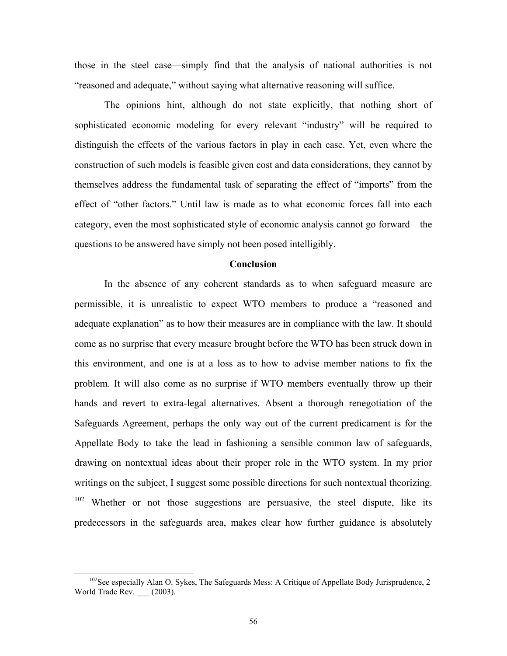those in the steel case—simply find that the analysis of national authorities is not "reasoned and adequate," without saying what alternative reasoning will suffice.

The opinions hint, although do not state explicitly, that nothing short of sophisticated economic modeling for every relevant "industry" will be required to distinguish the effects of the various factors in play in each case. Yet, even where the construction of such models is feasible given cost and data considerations, they cannot by themselves address the fundamental task of separating the effect of "imports" from the effect of "other factors." Until law is made as to what economic forces fall into each category, even the most sophisticated style of economic analysis cannot go forward—the questions to be answered have simply not been posed intelligibly.

#### **Conclusion**

In the absence of any coherent standards as to when safeguard measure are permissible, it is unrealistic to expect WTO members to produce a "reasoned and adequate explanation" as to how their measures are in compliance with the law. It should come as no surprise that every measure brought before the WTO has been struck down in this environment, and one is at a loss as to how to advise member nations to fix the problem. It will also come as no surprise if WTO members eventually throw up their hands and revert to extra-legal alternatives. Absent a thorough renegotiation of the Safeguards Agreement, perhaps the only way out of the current predicament is for the Appellate Body to take the lead in fashioning a sensible common law of safeguards, drawing on nontextual ideas about their proper role in the WTO system. In my prior writings on the subject, I suggest some possible directions for such nontextual theorizing. <sup>[102](#page-57-0)</sup> Whether or not those suggestions are persuasive, the steel dispute, like its predecessors in the safeguards area, makes clear how further guidance is absolutely

<span id="page-57-0"></span><sup>&</sup>lt;sup>102</sup>See especially Alan O. Sykes, The Safeguards Mess: A Critique of Appellate Body Jurisprudence, 2 World Trade Rev. (2003).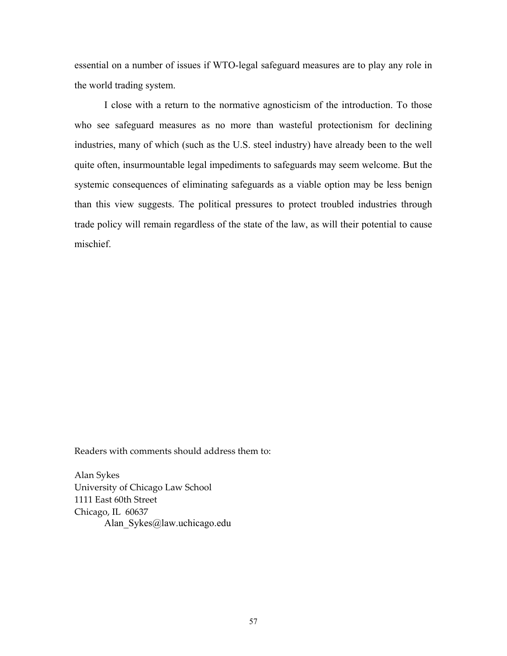essential on a number of issues if WTO-legal safeguard measures are to play any role in the world trading system.

I close with a return to the normative agnosticism of the introduction. To those who see safeguard measures as no more than wasteful protectionism for declining industries, many of which (such as the U.S. steel industry) have already been to the well quite often, insurmountable legal impediments to safeguards may seem welcome. But the systemic consequences of eliminating safeguards as a viable option may be less benign than this view suggests. The political pressures to protect troubled industries through trade policy will remain regardless of the state of the law, as will their potential to cause mischief.

Readers with comments should address them to:

Alan Sykes University of Chicago Law School 1111 East 60th Street Chicago, IL 60637 Alan Sykes@law.uchicago.edu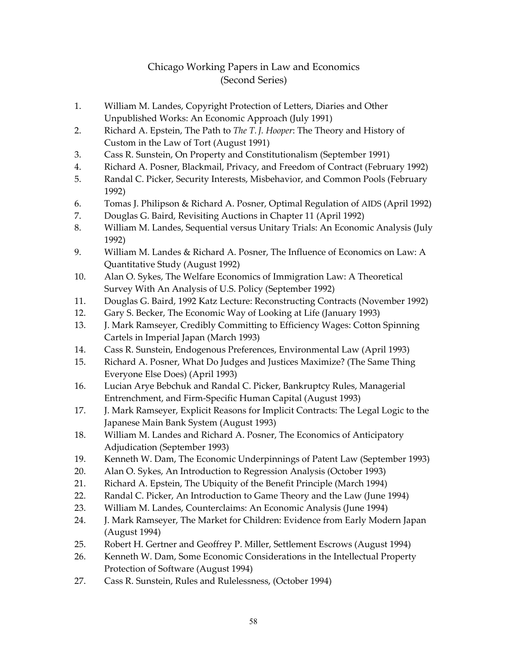# Chicago Working Papers in Law and Economics (Second Series)

- 1. William M. Landes, Copyright Protection of Letters, Diaries and Other Unpublished Works: An Economic Approach (July 1991)
- 2. Richard A. Epstein, The Path to *The T. J. Hooper*: The Theory and History of Custom in the Law of Tort (August 1991)
- 3. Cass R. Sunstein, On Property and Constitutionalism (September 1991)
- 4. Richard A. Posner, Blackmail, Privacy, and Freedom of Contract (February 1992)
- 5. Randal C. Picker, Security Interests, Misbehavior, and Common Pools (February 1992)
- 6. Tomas J. Philipson & Richard A. Posner, Optimal Regulation of AIDS (April 1992)
- 7. Douglas G. Baird, Revisiting Auctions in Chapter 11 (April 1992)
- 8. William M. Landes, Sequential versus Unitary Trials: An Economic Analysis (July 1992)
- 9. William M. Landes & Richard A. Posner, The Influence of Economics on Law: A Quantitative Study (August 1992)
- 10. Alan O. Sykes, The Welfare Economics of Immigration Law: A Theoretical Survey With An Analysis of U.S. Policy (September 1992)
- 11. Douglas G. Baird, 1992 Katz Lecture: Reconstructing Contracts (November 1992)
- 12. Gary S. Becker, The Economic Way of Looking at Life (January 1993)
- 13. J. Mark Ramseyer, Credibly Committing to Efficiency Wages: Cotton Spinning Cartels in Imperial Japan (March 1993)
- 14. Cass R. Sunstein, Endogenous Preferences, Environmental Law (April 1993)
- 15. Richard A. Posner, What Do Judges and Justices Maximize? (The Same Thing Everyone Else Does) (April 1993)
- 16. Lucian Arye Bebchuk and Randal C. Picker, Bankruptcy Rules, Managerial Entrenchment, and Firm-Specific Human Capital (August 1993)
- 17. J. Mark Ramseyer, Explicit Reasons for Implicit Contracts: The Legal Logic to the Japanese Main Bank System (August 1993)
- 18. William M. Landes and Richard A. Posner, The Economics of Anticipatory Adjudication (September 1993)
- 19. Kenneth W. Dam, The Economic Underpinnings of Patent Law (September 1993)
- 20. Alan O. Sykes, An Introduction to Regression Analysis (October 1993)
- 21. Richard A. Epstein, The Ubiquity of the Benefit Principle (March 1994)
- 22. Randal C. Picker, An Introduction to Game Theory and the Law (June 1994)
- 23. William M. Landes, Counterclaims: An Economic Analysis (June 1994)
- 24. J. Mark Ramseyer, The Market for Children: Evidence from Early Modern Japan (August 1994)
- 25. Robert H. Gertner and Geoffrey P. Miller, Settlement Escrows (August 1994)
- 26. Kenneth W. Dam, Some Economic Considerations in the Intellectual Property Protection of Software (August 1994)
- 27. Cass R. Sunstein, Rules and Rulelessness, (October 1994)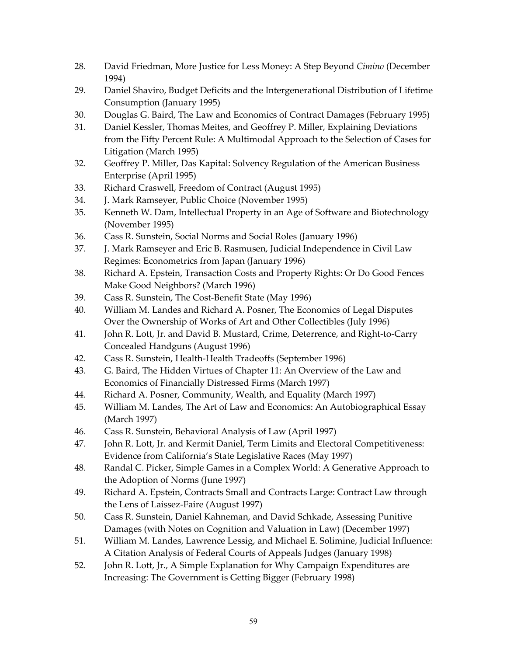- 28. David Friedman, More Justice for Less Money: A Step Beyond *Cimino* (December 1994)
- 29. Daniel Shaviro, Budget Deficits and the Intergenerational Distribution of Lifetime Consumption (January 1995)
- 30. Douglas G. Baird, The Law and Economics of Contract Damages (February 1995)
- 31. Daniel Kessler, Thomas Meites, and Geoffrey P. Miller, Explaining Deviations from the Fifty Percent Rule: A Multimodal Approach to the Selection of Cases for Litigation (March 1995)
- 32. Geoffrey P. Miller, Das Kapital: Solvency Regulation of the American Business Enterprise (April 1995)
- 33. Richard Craswell, Freedom of Contract (August 1995)
- 34. J. Mark Ramseyer, Public Choice (November 1995)
- 35. Kenneth W. Dam, Intellectual Property in an Age of Software and Biotechnology (November 1995)
- 36. Cass R. Sunstein, Social Norms and Social Roles (January 1996)
- 37. J. Mark Ramseyer and Eric B. Rasmusen, Judicial Independence in Civil Law Regimes: Econometrics from Japan (January 1996)
- 38. Richard A. Epstein, Transaction Costs and Property Rights: Or Do Good Fences Make Good Neighbors? (March 1996)
- 39. Cass R. Sunstein, The Cost-Benefit State (May 1996)
- 40. William M. Landes and Richard A. Posner, The Economics of Legal Disputes Over the Ownership of Works of Art and Other Collectibles (July 1996)
- 41. John R. Lott, Jr. and David B. Mustard, Crime, Deterrence, and Right-to-Carry Concealed Handguns (August 1996)
- 42. Cass R. Sunstein, Health-Health Tradeoffs (September 1996)
- 43. G. Baird, The Hidden Virtues of Chapter 11: An Overview of the Law and Economics of Financially Distressed Firms (March 1997)
- 44. Richard A. Posner, Community, Wealth, and Equality (March 1997)
- 45. William M. Landes, The Art of Law and Economics: An Autobiographical Essay (March 1997)
- 46. Cass R. Sunstein, Behavioral Analysis of Law (April 1997)
- 47. John R. Lott, Jr. and Kermit Daniel, Term Limits and Electoral Competitiveness: Evidence from California's State Legislative Races (May 1997)
- 48. Randal C. Picker, Simple Games in a Complex World: A Generative Approach to the Adoption of Norms (June 1997)
- 49. Richard A. Epstein, Contracts Small and Contracts Large: Contract Law through the Lens of Laissez-Faire (August 1997)
- 50. Cass R. Sunstein, Daniel Kahneman, and David Schkade, Assessing Punitive Damages (with Notes on Cognition and Valuation in Law) (December 1997)
- 51. William M. Landes, Lawrence Lessig, and Michael E. Solimine, Judicial Influence: A Citation Analysis of Federal Courts of Appeals Judges (January 1998)
- 52. John R. Lott, Jr., A Simple Explanation for Why Campaign Expenditures are Increasing: The Government is Getting Bigger (February 1998)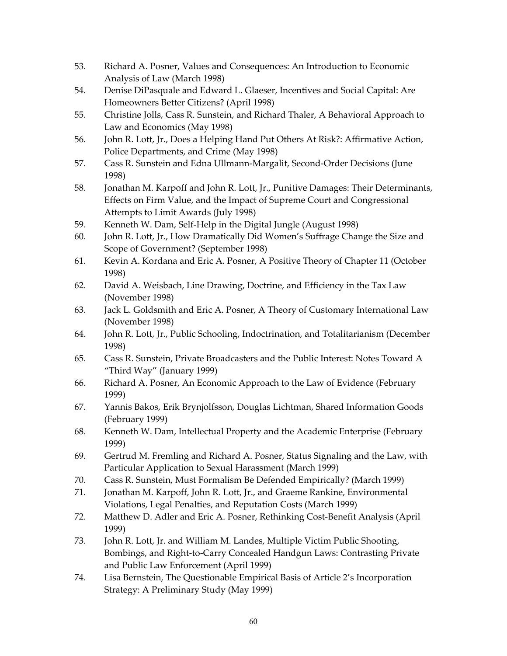- 53. Richard A. Posner, Values and Consequences: An Introduction to Economic Analysis of Law (March 1998)
- 54. Denise DiPasquale and Edward L. Glaeser, Incentives and Social Capital: Are Homeowners Better Citizens? (April 1998)
- 55. Christine Jolls, Cass R. Sunstein, and Richard Thaler, A Behavioral Approach to Law and Economics (May 1998)
- 56. John R. Lott, Jr., Does a Helping Hand Put Others At Risk?: Affirmative Action, Police Departments, and Crime (May 1998)
- 57. Cass R. Sunstein and Edna Ullmann-Margalit, Second-Order Decisions (June 1998)
- 58. Jonathan M. Karpoff and John R. Lott, Jr., Punitive Damages: Their Determinants, Effects on Firm Value, and the Impact of Supreme Court and Congressional Attempts to Limit Awards (July 1998)
- 59. Kenneth W. Dam, Self-Help in the Digital Jungle (August 1998)
- 60. John R. Lott, Jr., How Dramatically Did Women's Suffrage Change the Size and Scope of Government? (September 1998)
- 61. Kevin A. Kordana and Eric A. Posner, A Positive Theory of Chapter 11 (October 1998)
- 62. David A. Weisbach, Line Drawing, Doctrine, and Efficiency in the Tax Law (November 1998)
- 63. Jack L. Goldsmith and Eric A. Posner, A Theory of Customary International Law (November 1998)
- 64. John R. Lott, Jr., Public Schooling, Indoctrination, and Totalitarianism (December 1998)
- 65. Cass R. Sunstein, Private Broadcasters and the Public Interest: Notes Toward A "Third Way" (January 1999)
- 66. Richard A. Posner, An Economic Approach to the Law of Evidence (February 1999)
- 67. Yannis Bakos, Erik Brynjolfsson, Douglas Lichtman, Shared Information Goods (February 1999)
- 68. Kenneth W. Dam, Intellectual Property and the Academic Enterprise (February 1999)
- 69. Gertrud M. Fremling and Richard A. Posner, Status Signaling and the Law, with Particular Application to Sexual Harassment (March 1999)
- 70. Cass R. Sunstein, Must Formalism Be Defended Empirically? (March 1999)
- 71. Jonathan M. Karpoff, John R. Lott, Jr., and Graeme Rankine, Environmental Violations, Legal Penalties, and Reputation Costs (March 1999)
- 72. Matthew D. Adler and Eric A. Posner, Rethinking Cost-Benefit Analysis (April 1999)
- 73. John R. Lott, Jr. and William M. Landes, Multiple Victim Public Shooting, Bombings, and Right-to-Carry Concealed Handgun Laws: Contrasting Private and Public Law Enforcement (April 1999)
- 74. Lisa Bernstein, The Questionable Empirical Basis of Article 2's Incorporation Strategy: A Preliminary Study (May 1999)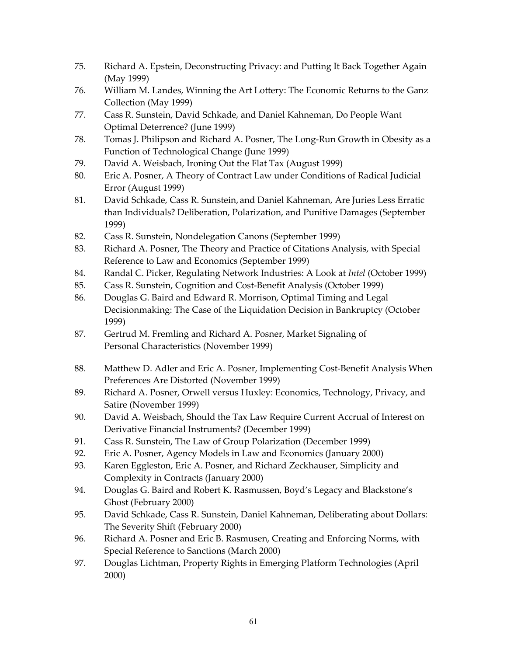- 75. Richard A. Epstein, Deconstructing Privacy: and Putting It Back Together Again (May 1999)
- 76. William M. Landes, Winning the Art Lottery: The Economic Returns to the Ganz Collection (May 1999)
- 77. Cass R. Sunstein, David Schkade, and Daniel Kahneman, Do People Want Optimal Deterrence? (June 1999)
- 78. Tomas J. Philipson and Richard A. Posner, The Long-Run Growth in Obesity as a Function of Technological Change (June 1999)
- 79. David A. Weisbach, Ironing Out the Flat Tax (August 1999)
- 80. Eric A. Posner, A Theory of Contract Law under Conditions of Radical Judicial Error (August 1999)
- 81. David Schkade, Cass R. Sunstein, and Daniel Kahneman, Are Juries Less Erratic than Individuals? Deliberation, Polarization, and Punitive Damages (September 1999)
- 82. Cass R. Sunstein, Nondelegation Canons (September 1999)
- 83. Richard A. Posner, The Theory and Practice of Citations Analysis, with Special Reference to Law and Economics (September 1999)
- 84. Randal C. Picker, Regulating Network Industries: A Look at *Intel* (October 1999)
- 85. Cass R. Sunstein, Cognition and Cost-Benefit Analysis (October 1999)
- 86. Douglas G. Baird and Edward R. Morrison, Optimal Timing and Legal Decisionmaking: The Case of the Liquidation Decision in Bankruptcy (October 1999)
- 87. Gertrud M. Fremling and Richard A. Posner, Market Signaling of Personal Characteristics (November 1999)
- 88. Matthew D. Adler and Eric A. Posner, Implementing Cost-Benefit Analysis When Preferences Are Distorted (November 1999)
- 89. Richard A. Posner, Orwell versus Huxley: Economics, Technology, Privacy, and Satire (November 1999)
- 90. David A. Weisbach, Should the Tax Law Require Current Accrual of Interest on Derivative Financial Instruments? (December 1999)
- 91. Cass R. Sunstein, The Law of Group Polarization (December 1999)
- 92. Eric A. Posner, Agency Models in Law and Economics (January 2000)
- 93. Karen Eggleston, Eric A. Posner, and Richard Zeckhauser, Simplicity and Complexity in Contracts (January 2000)
- 94. Douglas G. Baird and Robert K. Rasmussen, Boyd's Legacy and Blackstone's Ghost (February 2000)
- 95. David Schkade, Cass R. Sunstein, Daniel Kahneman, Deliberating about Dollars: The Severity Shift (February 2000)
- 96. Richard A. Posner and Eric B. Rasmusen, Creating and Enforcing Norms, with Special Reference to Sanctions (March 2000)
- 97. Douglas Lichtman, Property Rights in Emerging Platform Technologies (April 2000)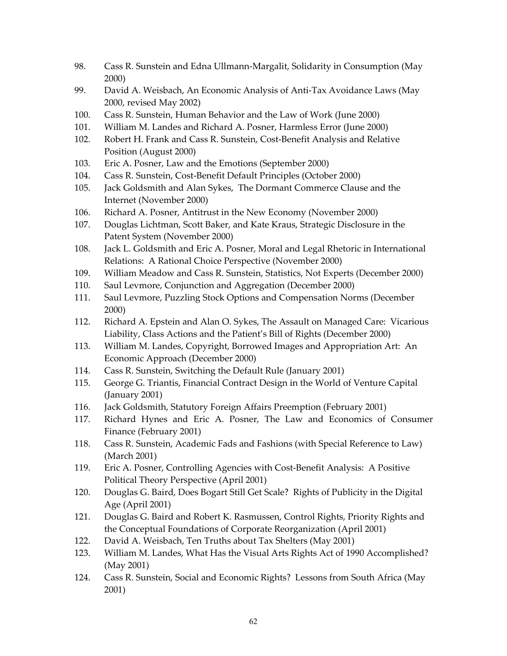- 98. Cass R. Sunstein and Edna Ullmann-Margalit, Solidarity in Consumption (May 2000)
- 99. David A. Weisbach, An Economic Analysis of Anti-Tax Avoidance Laws (May 2000, revised May 2002)
- 100. Cass R. Sunstein, Human Behavior and the Law of Work (June 2000)
- 101. William M. Landes and Richard A. Posner, Harmless Error (June 2000)
- 102. Robert H. Frank and Cass R. Sunstein, Cost-Benefit Analysis and Relative Position (August 2000)
- 103. Eric A. Posner, Law and the Emotions (September 2000)
- 104. Cass R. Sunstein, Cost-Benefit Default Principles (October 2000)
- 105. Jack Goldsmith and Alan Sykes, The Dormant Commerce Clause and the Internet (November 2000)
- 106. Richard A. Posner, Antitrust in the New Economy (November 2000)
- 107. Douglas Lichtman, Scott Baker, and Kate Kraus, Strategic Disclosure in the Patent System (November 2000)
- 108. Jack L. Goldsmith and Eric A. Posner, Moral and Legal Rhetoric in International Relations: A Rational Choice Perspective (November 2000)
- 109. William Meadow and Cass R. Sunstein, Statistics, Not Experts (December 2000)
- 110. Saul Levmore, Conjunction and Aggregation (December 2000)
- 111. Saul Levmore, Puzzling Stock Options and Compensation Norms (December 2000)
- 112. Richard A. Epstein and Alan O. Sykes, The Assault on Managed Care: Vicarious Liability, Class Actions and the Patient's Bill of Rights (December 2000)
- 113. William M. Landes, Copyright, Borrowed Images and Appropriation Art: An Economic Approach (December 2000)
- 114. Cass R. Sunstein, Switching the Default Rule (January 2001)
- 115. George G. Triantis, Financial Contract Design in the World of Venture Capital (January 2001)
- 116. Jack Goldsmith, Statutory Foreign Affairs Preemption (February 2001)
- 117. Richard Hynes and Eric A. Posner, The Law and Economics of Consumer Finance (February 2001)
- 118. Cass R. Sunstein, Academic Fads and Fashions (with Special Reference to Law) (March 2001)
- 119. Eric A. Posner, Controlling Agencies with Cost-Benefit Analysis: A Positive Political Theory Perspective (April 2001)
- 120. Douglas G. Baird, Does Bogart Still Get Scale? Rights of Publicity in the Digital Age (April 2001)
- 121. Douglas G. Baird and Robert K. Rasmussen, Control Rights, Priority Rights and the Conceptual Foundations of Corporate Reorganization (April 2001)
- 122. David A. Weisbach, Ten Truths about Tax Shelters (May 2001)
- 123. William M. Landes, What Has the Visual Arts Rights Act of 1990 Accomplished? (May 2001)
- 124. Cass R. Sunstein, Social and Economic Rights? Lessons from South Africa (May 2001)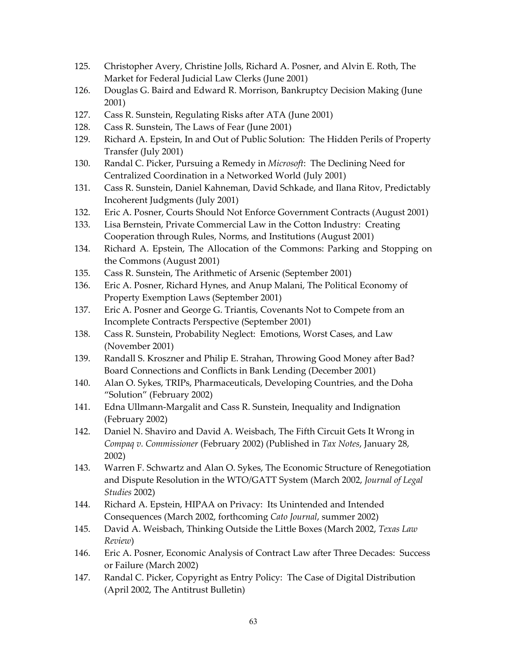- 125. Christopher Avery, Christine Jolls, Richard A. Posner, and Alvin E. Roth, The Market for Federal Judicial Law Clerks (June 2001)
- 126. Douglas G. Baird and Edward R. Morrison, Bankruptcy Decision Making (June 2001)
- 127. Cass R. Sunstein, Regulating Risks after ATA (June 2001)
- 128. Cass R. Sunstein, The Laws of Fear (June 2001)
- 129. Richard A. Epstein, In and Out of Public Solution: The Hidden Perils of Property Transfer (July 2001)
- 130. Randal C. Picker, Pursuing a Remedy in *Microsoft*: The Declining Need for Centralized Coordination in a Networked World (July 2001)
- 131. Cass R. Sunstein, Daniel Kahneman, David Schkade, and Ilana Ritov, Predictably Incoherent Judgments (July 2001)
- 132. Eric A. Posner, Courts Should Not Enforce Government Contracts (August 2001)
- 133. Lisa Bernstein, Private Commercial Law in the Cotton Industry: Creating Cooperation through Rules, Norms, and Institutions (August 2001)
- 134. Richard A. Epstein, The Allocation of the Commons: Parking and Stopping on the Commons (August 2001)
- 135. Cass R. Sunstein, The Arithmetic of Arsenic (September 2001)
- 136. Eric A. Posner, Richard Hynes, and Anup Malani, The Political Economy of Property Exemption Laws (September 2001)
- 137. Eric A. Posner and George G. Triantis, Covenants Not to Compete from an Incomplete Contracts Perspective (September 2001)
- 138. Cass R. Sunstein, Probability Neglect: Emotions, Worst Cases, and Law (November 2001)
- 139. Randall S. Kroszner and Philip E. Strahan, Throwing Good Money after Bad? Board Connections and Conflicts in Bank Lending (December 2001)
- 140. Alan O. Sykes, TRIPs, Pharmaceuticals, Developing Countries, and the Doha "Solution" (February 2002)
- 141. Edna Ullmann-Margalit and Cass R. Sunstein, Inequality and Indignation (February 2002)
- 142. Daniel N. Shaviro and David A. Weisbach, The Fifth Circuit Gets It Wrong in *Compaq v. Commissioner* (February 2002) (Published in *Tax Notes*, January 28, 2002)
- 143. Warren F. Schwartz and Alan O. Sykes, The Economic Structure of Renegotiation and Dispute Resolution in the WTO/GATT System (March 2002, *Journal of Legal Studies* 2002)
- 144. Richard A. Epstein, HIPAA on Privacy: Its Unintended and Intended Consequences (March 2002, forthcoming *Cato Journal*, summer 2002)
- 145. David A. Weisbach, Thinking Outside the Little Boxes (March 2002, *Texas Law Review*)
- 146. Eric A. Posner, Economic Analysis of Contract Law after Three Decades: Success or Failure (March 2002)
- 147. Randal C. Picker, Copyright as Entry Policy: The Case of Digital Distribution (April 2002, The Antitrust Bulletin)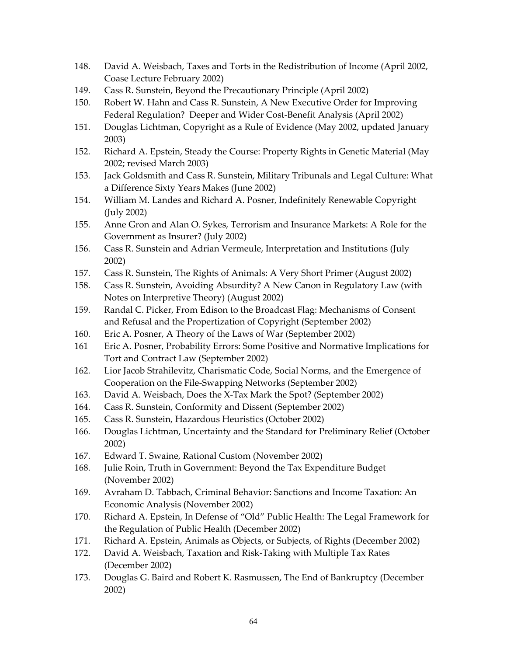- 148. David A. Weisbach, Taxes and Torts in the Redistribution of Income (April 2002, Coase Lecture February 2002)
- 149. Cass R. Sunstein, Beyond the Precautionary Principle (April 2002)
- 150. Robert W. Hahn and Cass R. Sunstein, A New Executive Order for Improving Federal Regulation? Deeper and Wider Cost-Benefit Analysis (April 2002)
- 151. Douglas Lichtman, Copyright as a Rule of Evidence (May 2002, updated January 2003)
- 152. Richard A. Epstein, Steady the Course: Property Rights in Genetic Material (May 2002; revised March 2003)
- 153. Jack Goldsmith and Cass R. Sunstein, Military Tribunals and Legal Culture: What a Difference Sixty Years Makes (June 2002)
- 154. William M. Landes and Richard A. Posner, Indefinitely Renewable Copyright (July 2002)
- 155. Anne Gron and Alan O. Sykes, Terrorism and Insurance Markets: A Role for the Government as Insurer? (July 2002)
- 156. Cass R. Sunstein and Adrian Vermeule, Interpretation and Institutions (July 2002)
- 157. Cass R. Sunstein, The Rights of Animals: A Very Short Primer (August 2002)
- 158. Cass R. Sunstein, Avoiding Absurdity? A New Canon in Regulatory Law (with Notes on Interpretive Theory) (August 2002)
- 159. Randal C. Picker, From Edison to the Broadcast Flag: Mechanisms of Consent and Refusal and the Propertization of Copyright (September 2002)
- 160. Eric A. Posner, A Theory of the Laws of War (September 2002)
- 161 Eric A. Posner, Probability Errors: Some Positive and Normative Implications for Tort and Contract Law (September 2002)
- 162. Lior Jacob Strahilevitz, Charismatic Code, Social Norms, and the Emergence of Cooperation on the File-Swapping Networks (September 2002)
- 163. David A. Weisbach, Does the X-Tax Mark the Spot? (September 2002)
- 164. Cass R. Sunstein, Conformity and Dissent (September 2002)
- 165. Cass R. Sunstein, Hazardous Heuristics (October 2002)
- 166. Douglas Lichtman, Uncertainty and the Standard for Preliminary Relief (October 2002)
- 167. Edward T. Swaine, Rational Custom (November 2002)
- 168. Julie Roin, Truth in Government: Beyond the Tax Expenditure Budget (November 2002)
- 169. Avraham D. Tabbach, Criminal Behavior: Sanctions and Income Taxation: An Economic Analysis (November 2002)
- 170. Richard A. Epstein, In Defense of "Old" Public Health: The Legal Framework for the Regulation of Public Health (December 2002)
- 171. Richard A. Epstein, Animals as Objects, or Subjects, of Rights (December 2002)
- 172. David A. Weisbach, Taxation and Risk-Taking with Multiple Tax Rates (December 2002)
- 173. Douglas G. Baird and Robert K. Rasmussen, The End of Bankruptcy (December 2002)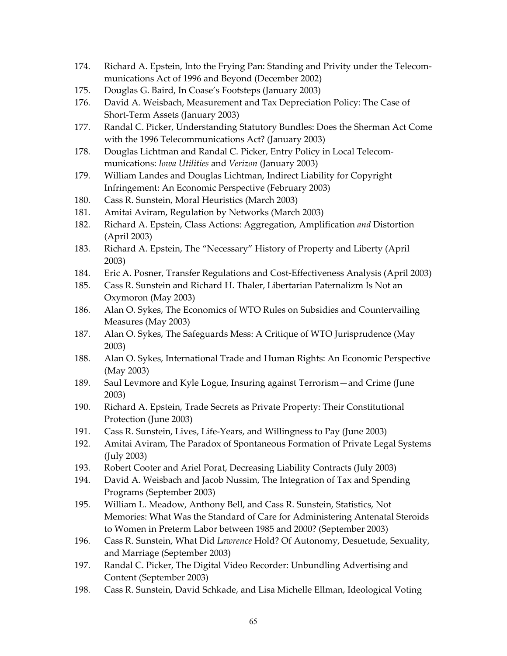- 174. Richard A. Epstein, Into the Frying Pan: Standing and Privity under the Telecommunications Act of 1996 and Beyond (December 2002)
- 175. Douglas G. Baird, In Coase's Footsteps (January 2003)
- 176. David A. Weisbach, Measurement and Tax Depreciation Policy: The Case of Short-Term Assets (January 2003)
- 177. Randal C. Picker, Understanding Statutory Bundles: Does the Sherman Act Come with the 1996 Telecommunications Act? (January 2003)
- 178. Douglas Lichtman and Randal C. Picker, Entry Policy in Local Telecommunications: *Iowa Utilities* and *Verizon* (January 2003)
- 179. William Landes and Douglas Lichtman, Indirect Liability for Copyright Infringement: An Economic Perspective (February 2003)
- 180. Cass R. Sunstein, Moral Heuristics (March 2003)
- 181. Amitai Aviram, Regulation by Networks (March 2003)
- 182. Richard A. Epstein, Class Actions: Aggregation, Amplification *and* Distortion (April 2003)
- 183. Richard A. Epstein, The "Necessary" History of Property and Liberty (April 2003)
- 184. Eric A. Posner, Transfer Regulations and Cost-Effectiveness Analysis (April 2003)
- 185. Cass R. Sunstein and Richard H. Thaler, Libertarian Paternalizm Is Not an Oxymoron (May 2003)
- 186. Alan O. Sykes, The Economics of WTO Rules on Subsidies and Countervailing Measures (May 2003)
- 187. Alan O. Sykes, The Safeguards Mess: A Critique of WTO Jurisprudence (May 2003)
- 188. Alan O. Sykes, International Trade and Human Rights: An Economic Perspective (May 2003)
- 189. Saul Levmore and Kyle Logue, Insuring against Terrorism—and Crime (June 2003)
- 190. Richard A. Epstein, Trade Secrets as Private Property: Their Constitutional Protection (June 2003)
- 191. Cass R. Sunstein, Lives, Life-Years, and Willingness to Pay (June 2003)
- 192. Amitai Aviram, The Paradox of Spontaneous Formation of Private Legal Systems (July 2003)
- 193. Robert Cooter and Ariel Porat, Decreasing Liability Contracts (July 2003)
- 194. David A. Weisbach and Jacob Nussim, The Integration of Tax and Spending Programs (September 2003)
- 195. William L. Meadow, Anthony Bell, and Cass R. Sunstein, Statistics, Not Memories: What Was the Standard of Care for Administering Antenatal Steroids to Women in Preterm Labor between 1985 and 2000? (September 2003)
- 196. Cass R. Sunstein, What Did *Lawrence* Hold? Of Autonomy, Desuetude, Sexuality, and Marriage (September 2003)
- 197. Randal C. Picker, The Digital Video Recorder: Unbundling Advertising and Content (September 2003)
- 198. Cass R. Sunstein, David Schkade, and Lisa Michelle Ellman, Ideological Voting